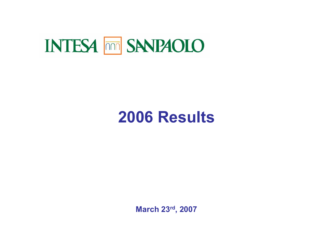# **INTESA <b>THE SANPAOLO**

# **2006 Results**

**March 23rd, 2007**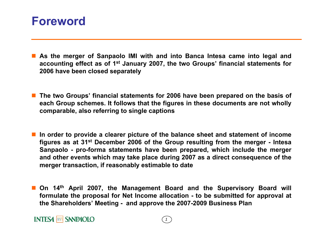## **Foreword**

- П **As the merger of Sanpaolo IMI with and into Banca Intesa came into legal and accounting effect as of 1st January 2007, the two Groups' financial statements for 2006 have been closed separately**
- **The two Groups' financial statements for 2006 have been prepared on the basis of each Group schemes. It follows that the figures in these documents are not wholly comparable, also referring to single captions**
- **In order to provide a clearer picture of the balance sheet and statement of income figures as at 31st December 2006 of the Group resulting from the merger - Intesa Sanpaolo - pro-forma statements have been prepared, which include the merger and other events which may take place during 2007 as a direct consequence of the merger transaction, if reasonably estimable to date**
- П **On 14th April 2007, the Management Board and the Supervisory Board will formulate the proposal for Net Income allocation - to be submitted for approval at the Shareholders' Meeting - and approve the 2007-2009 Business Plan**

### **INTESA MM SANPAOLO**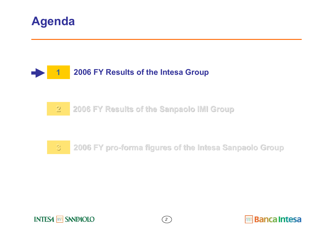



#### **222006 FY Results of the Sanpaolo IMI Group 2006 FY Results of the Sanpaolo IMI Group**

#### **33 2006 FY pro 2006 FY pro-forma figures of the Intesa Sanpaolo Group forma figures of the Intesa Sanpaolo Group**



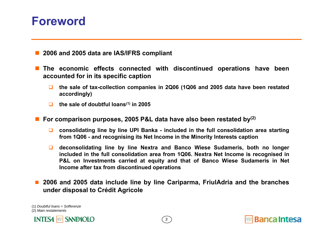## **Foreword**

- F. **2006 and 2005 data are IAS/IFRS compliant**
- $\mathbb{R}^n$  **The economic effects connected with discontinued operations have been accounted for in its specific caption**
	- $\Box$  **the sale of tax-collection companies in 2Q06 (1Q06 and 2005 data have been restated accordingly)**
	- $\Box$ **the sale of doubtful loans(1) in 2005**
- M. **For comparison purposes, 2005 P&L data have also been restated by(2)**
	- $\Box$  **consolidating line by line UPI Banka - included in the full consolidation area starting from 1Q06 - and recognising its Net Income in the Minority Interests caption**
	- **deconsolidating line by line Nextra and Banco Wiese Sudameris, both no longer included in the full consolidation area from 1Q06. Nextra Net Income is recognised in P&L on Investments carried at equity and that of Banco Wiese Sudameris in Net Income after tax from discontinued operations**
- П **2006 and 2005 data include line by line Cariparma, FriulAdria and the branches under disposal to Crédit Agricole**

(1) *Doubtful loans = Sofferenze* (2) *Main restatements*



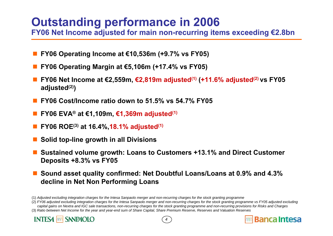## **Outstanding performance in 2006**

**FY06 Net Income adjusted for main non-recurring items exceeding €2.8bn**

- **FY06 Operating Income at €10,536m (+9.7% vs FY05)**
- **FY06 Operating Margin at €5,106m (+17.4% vs FY05)**
- **FY06 Net Income at €2,559m, €2,819m adjusted(1) (+11.6% adjusted(2) vs FY05 adjusted(2))**
- T. **FY06 Cost/Income ratio down to 51.5% vs 54.7% FY05**
- **FY06 EVA® at €1,109m, €1,369m adjusted(1)**
- T. **FY06 ROE(3) at 16.4%,18.1% adjusted(1)**
- **Solid top-line growth in all Divisions**
- **Sustained volume growth: Loans to Customers +13.1% and Direct Customer Deposits +8.3% vs FY05**
- **Sound asset quality confirmed: Net Doubtful Loans/Loans at 0.9% and 4.3% decline in Net Non Performing Loans**

(3) *Ratio between Net Income for the year and year-end sum of Share Capital, Share Premium Reserve, Reserves and Valuation Reserves*





**Banca Intesa** 

<sup>(1)</sup> *Adjusted excluding integration charges for the Intesa Sanpaolo merger and non-recurring charges for the stock granting programme*

<sup>(2)</sup> *FY06 adjusted excluding integration charges for the Intesa Sanpaolo merger and non-recurring charges for the stock granting programme vs FY05 adjusted excluding capital gains on Nextra and IGC sale transactions, non-recurring charges for the stock granting programme and non-recurring provisions for Risks and Charges*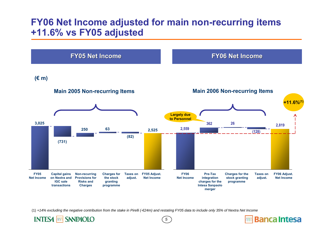### **FY06 Net Income adjusted for main non-recurring items +11.6% vs FY05 adjusted**



*5*

(1) *+14% excluding the negative contribution from the stake in Pirelli (-€24m) and restating FY05 data to include only 35% of Nextra Net Income*

**INTESA MM SANPAOLO** 

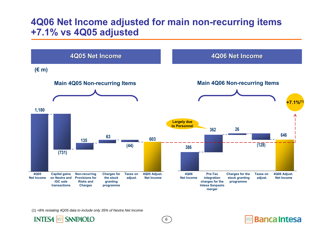### **4Q06 Net Income adjusted for main non-recurring items +7.1% vs 4Q05 adjusted**



*6*

**Banca Intesa** 

(1) *+8% restating 4Q05 data to include only 35% of Nextra Net Income*

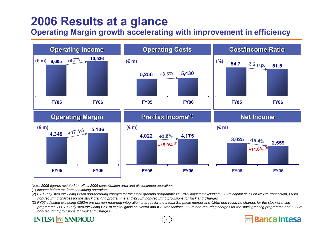## **2006 Results at a glance**

**Operating Margin growth accelerating with improvement in efficiency**



Note: *2005 figures restated to reflect 2006 consolidation area and discontinued operations*

- (1) *Income before tax from continuing operations*
- (2) *FY06 adjusted excluding €26m non-recurring charges for the stock granting programme vs FY05 adjusted excluding €682m capital gains on Nextra transaction, €63m non-recurring charges for the stock granting programme and €250m non-recurring provisions for Risk and Charges*
- (3) *FY06 adjusted excluding* €362m pre-tax non-recurring integration charges for the Intesa Sanpaolo merger and €26m non-recurring charges for the stock granting programme vs FY05 adjusted excluding €731m capital gains on Nextra and IGC transactions, €63m non-recurring charges for the stock granting programme and €250m *non-recurring provisions for Risk and Charges*

*7*

**Banca Intesa** 

#### **SNNPAOLO INTESA**  $nnn$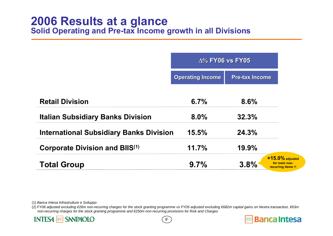|                                                | $\Delta$ % FY06 vs FY05 |                                                                    |  |
|------------------------------------------------|-------------------------|--------------------------------------------------------------------|--|
|                                                | <b>Operating Income</b> | <b>Pre-tax Income</b>                                              |  |
| <b>Retail Division</b>                         | 6.7%                    | 8.6%                                                               |  |
| <b>Italian Subsidiary Banks Division</b>       | 8.0%                    | 32.3%                                                              |  |
| <b>International Subsidiary Banks Division</b> | 15.5%                   | 24.3%                                                              |  |
| <b>Corporate Division and BIIS(1)</b>          | 11.7%                   | 19.9%                                                              |  |
| <b>Total Group</b>                             | 9.7%                    | $+15.0\%$ adjusted<br>for main non-<br>3.8%<br>recurring items (2) |  |

(1) *Banca Intesa Infrastrutture e Sviluppo*

(2) *FY06 adjusted excluding €26m non-recurring charges for the stock granting programme vs FY05 adjusted excluding €682m capital gains on Nextra transaction, €63m non-recurring charges for the stock granting programme and €250m non-recurring provisions for Risk and Charges*



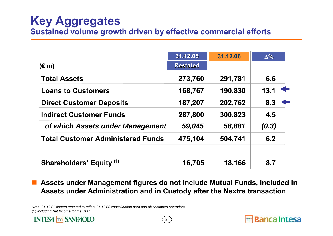## **Key Aggregates Sustained volume growth driven by effective commercial efforts**

|                                          | 31.12.05        | 31.12.06 | $\Delta\%$       |
|------------------------------------------|-----------------|----------|------------------|
| $(\epsilon$ m)                           | <b>Restated</b> |          |                  |
| <b>Total Assets</b>                      | 273,760         | 291,781  | 6.6              |
| <b>Loans to Customers</b>                | 168,767         | 190,830  | 13.1             |
| <b>Direct Customer Deposits</b>          | 187,207         | 202,762  | $8.3 \leftarrow$ |
| <b>Indirect Customer Funds</b>           | 287,800         | 300,823  | 4.5              |
| of which Assets under Management         | 59,045          | 58,881   | (0.3)            |
| <b>Total Customer Administered Funds</b> | 475,104         | 504,741  | 6.2              |
| Shareholders' Equity (1)                 | 16,705          | 18,166   | 8.7              |

 $\Box$  **Assets under Management figures do not include Mutual Funds, included in Assets under Administration and in Custody after the Nextra transaction**

*9*

Note: *31.12.05 figures restated to reflect 31.12.06 consolidation area and discontinued operations* (1) *Including Net Income for the year*



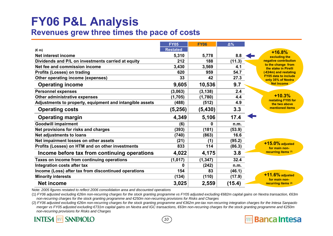## **FY06 P&L Analysis Revenues grew three times the pace of costs**

|                                                          | <b>FY05</b>     | <b>FY06</b>  | $\Delta\%$ |                                                   |
|----------------------------------------------------------|-----------------|--------------|------------|---------------------------------------------------|
| $(\epsilon m)$                                           | <b>Restated</b> |              |            | $+16.8%$                                          |
| Net interest income                                      | 5,310           | 5,778        | 8.8        | excluding the                                     |
| Dividends and P/L on investments carried at equity       | 212             | 188          | (11.3)     | negative contribution                             |
| Net fee and commission income                            | 3,430           | 3,569        | 4.1        | to the change from<br>the stake in Pirelli        |
| <b>Profits (Losses) on trading</b>                       | 620             | 959          | 54.7       | (-€24m) and restating                             |
| Other operating income (expenses)                        | 33              | 42           | 27.3       | <b>FY05 data to include</b><br>only 35% of Nextra |
| <b>Operating income</b>                                  | 9,605           | 10,536       | 9.7        | <b>Net Income</b>                                 |
| <b>Personnel expenses</b>                                | (3,063)         | (3, 138)     | 2.4        |                                                   |
| Other administrative expenses                            | (1,705)         | (1,780)      | 4.4        | $+10.3%$                                          |
| Adjustments to property, equipment and intangible assets | (488)           | (512)        | 4.9        | restating FY05 for<br>the two above               |
| <b>Operating costs</b>                                   | (5, 256)        | (5, 430)     | 3.3        | mentioned items                                   |
| <b>Operating margin</b>                                  | 4,349           | 5,106        | 17.4       |                                                   |
| <b>Goodwill impairment</b>                               | (6)             | $\mathbf{0}$ | n.m.       |                                                   |
| Net provisions for risks and charges                     | (393)           | (181)        | (53.9)     |                                                   |
| <b>Net adjustments to loans</b>                          | (740)           | (863)        | 16.6       |                                                   |
| Net impairment losses on other assets                    | (21)            | (1)          | (95.2)     | $+15.0\%$ adjusted                                |
| Profits (Losses) on HTM and on other investments         | 833             | 114          | (86.3)     | for main non-                                     |
| Income before tax from continuing operations             | 4,022           | 4,175        | 3.8        | recurring items (1)                               |
| Taxes on income from continuing operations               | (1,017)         | (1, 347)     | 32.4       |                                                   |
| Integration costs after tax                              | 0               | (242)        | n.m.       |                                                   |
| Income (Loss) after tax from discontinued operations     | 154             | 83           | (46.1)     |                                                   |
| <b>Minority interests</b>                                | (134)           | (110)        | (17.9)     | $+11.6\%$ adjusted<br>for main non-               |
| <b>Net income</b>                                        | 3,025           | 2,559        | (15.4)     | recurring items (2)                               |

Note: *2005 figures restated to reflect 2006 consolidation area and discounted operations*

(1) *FY06 adjusted excluding €26m non-recurring charges for the stock granting programme vs FY05 adjusted excluding €682m capital gains on Nextra transaction, €63m non-recurring charges for the stock granting programme and €250m non-recurring provisions for Risks and Charges*

(2) *FY06 adjusted excluding €26m non-recurring charges for the stock granting programme and €362m pre-tax non-recurring integration charges for the Intesa Sanpaolo merger vs FY05 adjusted excluding €731m capital gains on Nextra and IGC transactions, €63m non-recurring charges for the stock granting programme and €250m non-recurring provisions for Risks and Charges* 

*10*

### **INTESA non SANPAOLO**

**Banca Intesa**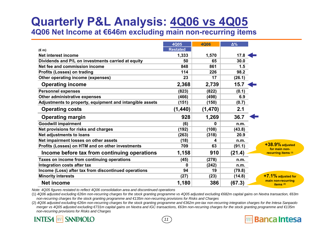# **Quarterly P&L Analysis: 4Q06 vs 4Q05**

**4Q06 Net Income at €646m excluding main non-recurring items**

|                                                          | 4Q05            | <b>4Q06</b> | $\Delta\%$ |
|----------------------------------------------------------|-----------------|-------------|------------|
| $(\epsilon m)$                                           | <b>Restated</b> |             |            |
| Net interest income                                      | 1,333           | 1,570       | 17.8       |
| Dividends and P/L on investments carried at equity       | 50              | 65          | 30.0       |
| Net fee and commission income                            | 848             | 861         | 1.5        |
| <b>Profits (Losses) on trading</b>                       | 114             | 226         | 98.2       |
| Other operating income (expenses)                        | 23              | 17          | (26.1)     |
| <b>Operating income</b>                                  | 2,368           | 2,739       | 15.7       |
| <b>Personnel expenses</b>                                | (823)           | (822)       | (0.1)      |
| Other administrative expenses                            | (466)           | (498)       | 6.9        |
| Adjustments to property, equipment and intangible assets | (151)           | (150)       | (0.7)      |
| <b>Operating costs</b>                                   | (1, 440)        | (1,470)     | 2.1        |
| <b>Operating margin</b>                                  | 928             | 1,269       | 36.7       |
| <b>Goodwill impairment</b>                               | (6)             | 0           | n.m.       |
| Net provisions for risks and charges                     | (192)           | (108)       | (43.8)     |
| Net adjustments to loans                                 | (263)           | (318)       | 20.9       |
| Net impairment losses on other assets                    | (18)            | 4           | n.m.       |
| Profits (Losses) on HTM and on other investments         | 709             | 63          | (91.1)     |
| Income before tax from continuing operations             | 1,158           | 910         | (21.4)     |
| Taxes on income from continuing operations               | (45)            | (278)       | n.m.       |
| Integration costs after tax                              | 0               | (242)       | n.m.       |
| Income (Loss) after tax from discontinued operations     | 94              | 19          | (79.8)     |
| <b>Minority interests</b>                                | (27)            | (23)        | (14.8)     |
| <b>Net income</b>                                        | 1,180           | 386         | (67.3)     |

*Note: 4Q05 figures restated to reflect 4Q06 consolidation area and discontinued operations*

(1) *4Q06 adjusted excluding €26m non-recurring charges for the stock granting programme vs 4Q05 adjusted excluding €682m capital gains on Nextra transaction, €63m non-recurring charges for the stock granting programme and €135m non-recurring provisions for Risks and Charges*

(2) *4Q06 adjusted excluding €26m non-recurring charges for the stock granting programme and €362m pre-tax non-recurring integration charges for the Intesa Sanpaolo merger vs 4Q05 adjusted excluding €731m capital gains on Nextra and IGC transactions, €63m non-recurring charges for the stock granting programme and €135m non-recurring provisions for Risks and Charges* 

*11*

**Banca Intesa** 

### **INTESA non SANPAOLO**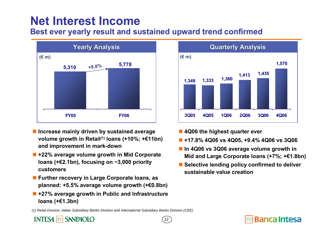### **Best ever yearly result and sustained upward trend confirmed**



- **Increase mainly driven by sustained average volume growth in Retail(1) loans (+10%; +€11bn) and improvement in mark-down**
- **+22% average volume growth in Mid Corporate loans (+€2.1bn), focusing on ~3,000 priority customers**
- **Further recovery in Large Corporate loans, as planned: +5.5% average volume growth (+€0.8bn)**
- **+27% average growth in Public and Infrastructure loans (+€1.3bn)**



- **4Q06 the highest quarter ever**
- **+17.8% 4Q06 vs 4Q05, +9.4% 4Q06 vs 3Q06**
- **In 4Q06 vs 3Q06 average volume growth in Mid and Large Corporate loans (+7%; +€1.8bn)**
- Selective lending policy confirmed to deliver **sustainable value creation**

(1) *Retail Division, Italian Subsidiary Banks Division and International Subsidiary Banks Division (CEE)*

### **INTESA non SANPAOLO**



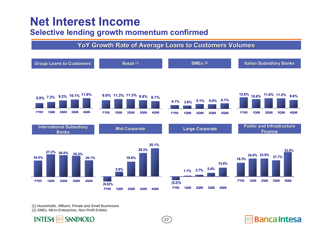### **Selective lending growth momentum confirmed**

### **YoY Growth Rate of Average Loans to Customers Volumes**



*13*

**Banca Intesa** 

(1) *Households, Affluent, Private and Small Businesses*

(2) *SMEs, Micro-Enterprises, Non-Profit Entities*

### **INTESA MM SANPAOLO**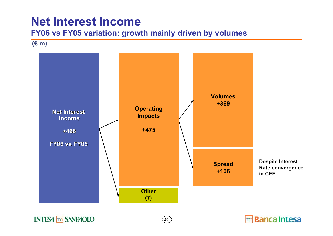### **FY06 vs FY05 variation: growth mainly driven by volumes**

**(€ m)**



*14*

mm Banca Intesa

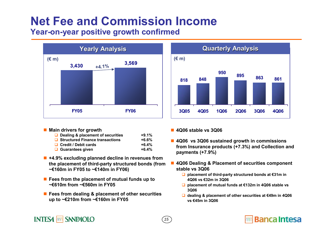# **Net Fee and Commission Income**

**Year-on-year positive growth confirmed**



#### ■ Main drivers for growth

**INTESA non SANPAOLO** 

| Dealing & placement of securities      | $+9.1%$ |
|----------------------------------------|---------|
| $\Box$ Structured Finance transactions | $+6.6%$ |
| $\Box$ Credit / Debit cards            | $+6.4%$ |
| $\Box$ Guarantees given                | $+6.4%$ |

- **+4.9% excluding planned decline in revenues from the placement of third-party structured bonds (from ~€160m in FY05 to ~€140m in FY06)**
- **Fees from the placement of mutual funds up to ~€610m from ~€560m in FY05**
- **Fees from dealing & placement of other securities up to ~€210m from ~€160m in FY05**



**4Q06 stable vs 3Q06**

*15*

- **4Q06 vs 3Q06 sustained growth in commissions from Insurance products (+7.3%) and Collection and payments (+7.9%)**
- **4Q06 Dealing & Placement of securities component stable vs 3Q06**
	- **placement of third-party structured bonds at €31m in 4Q06 vs €32m in 3Q06**
	- **placement of mutual funds at €132m in 4Q06 stable vs 3Q06**
	- **dealing & placement of other securities at €49m in 4Q06 vs €45m in 3Q06**

### **Banca Intesa**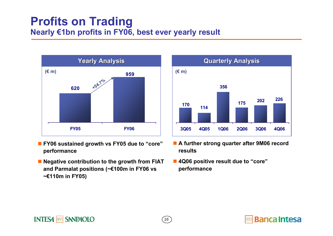## **Profits on Trading Nearly €1bn profits in FY06, best ever yearly result**



- **FY06 sustained growth vs FY05 due to "core" performance**
- П **Negative contribution to the growth from FIAT and Parmalat positions (~€100m in FY06 vs ~€110m in FY05)**



- **A further strong quarter after 9M06 record results**
- Π **4Q06 positive result due to "core" performance**

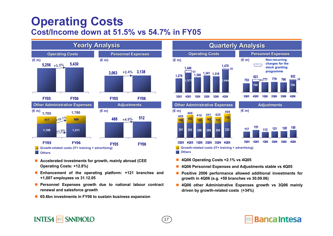## **Operating Costs Cost/Income down at 51.5% vs 54.7% in FY05**



- **Accelerated investments for growth, mainly abroad (CEE Operating Costs: +12.8%)**
- **Enhancement of the operating platform: +121 branches and +1,007 employees vs 31.12.05**
- **Personnel Expenses growth due to national labour contract renewal and salesforce growth**
- **€0.6bn investments in FY06 to sustain business expansion**

**INTESA non SANPAOLO** 



- **4Q06 Operating Costs +2.1% vs 4Q05**
- **4Q06 Personnel Expenses and Adjustments stable vs 4Q05**
- **Positive 2006 performance allowed additional investments for growth in 4Q06 (e.g. +59 branches vs 30.09.06)**
- **4Q06 other Administrative Expenses growth vs 3Q06 mainly driven by growth-related costs (+34%)**

### *17*

### **Banca Intesa**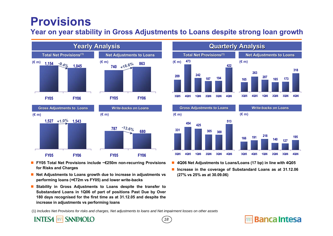## **Provisions**

### **Year on year stability in Gross Adjustments to Loans despite strong loan growth**



- **FY05 Total Net Provisions include ~€250m non-recurring Provisions for Risks and Charges**
- **Net Adjustments to Loans growth due to increase in adjustments vs performing loans (+€72m vs FY05) and lower write-backs**
- **Stability in Gross Adjustments to Loans despite the transfer to Substandard Loans in 1Q06 of part of positions Past Due by Over 180 days recognised for the first time as at 31.12.05 and despite the increase in adjustments vs performing loans**



**3Q05 4Q05 1Q06 2Q06 3Q06 4Q06**



**3Q05 4Q05 1Q06 2Q06 3Q06 4Q06**

**Banca Intesa** 

- **4Q06 Net Adjustments to Loans/Loans (17 bp) in line with 4Q05**
- **Increase in the coverage of Substandard Loans as at 31.12.06 (27% vs 25% as at 30.09.06)**

(1) *Includes Net Provisions for risks and charges, Net adjustments to loans and Net impairment losses on other assets* 

#### nn SANPAOLO **INTES4**

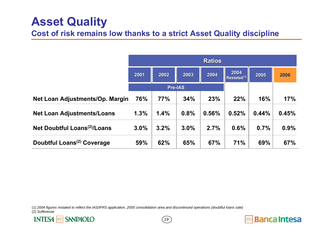## **Asset Quality**

### **Cost of risk remains low thanks to a strict Asset Quality discipline**

|                                          | <b>Ratios</b> |      |                |       |                                 |       |       |
|------------------------------------------|---------------|------|----------------|-------|---------------------------------|-------|-------|
|                                          | 2001          | 2002 | 2003           | 2004  | 2004<br>Restated <sup>(1)</sup> | 2005  | 2006  |
|                                          |               |      | <b>Pre-IAS</b> |       |                                 |       |       |
| Net Loan Adjustments/Op. Margin          | 76%           | 77%  | 34%            | 23%   | 22%                             | 16%   | 17%   |
| <b>Net Loan Adjustments/Loans</b>        | 1.3%          | 1.4% | 0.8%           | 0.56% | 0.52%                           | 0.44% | 0.45% |
| Net Doubtful Loans <sup>(2)</sup> /Loans | 3.0%          | 3.2% | 3.0%           | 2.7%  | 0.6%                            | 0.7%  | 0.9%  |
| Doubtful Loans <sup>(2)</sup> Coverage   | 59%           | 62%  | 65%            | 67%   | 71%                             | 69%   | 67%   |

(1) *2004 figures restated to reflect the IAS/IFRS application, 2005 consolidation area and discontinued operations (doubtful loans sale)*

(2) *Sofferenze*





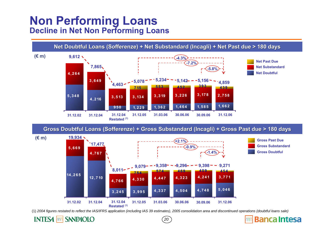## **Non Performing Loans Decline in Net Non Performing Loans**

**SANPAOLO** 

**INTES4** 

Innr



#### Gross Doubtful Loans (Sofferenze) + Gross Substandard (Incagli) + Gross Past due > 180 days



(1) 2004 figures restated to reflect the IAS/IFRS application (including IAS 39 estimates), 2005 consolidation area and discontinued operations (doubtful loans sale)

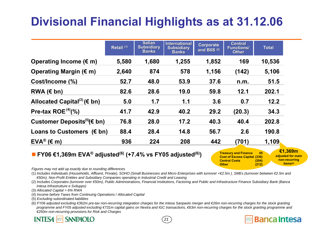## **Divisional Financial Highlights as at 31.12.06**

|                                                   | Retail <sup>(1)</sup> | <b>Italian</b><br><b>Subsidiary</b><br><b>Banks</b> | <b>International</b><br><b>Subsidiary</b><br><b>Banks</b> | <b>Corporate</b><br>and BIIS <sup>(2)</sup> | <b>Central</b><br><b>Functions/</b><br><b>Other</b> | <b>Total</b> |
|---------------------------------------------------|-----------------------|-----------------------------------------------------|-----------------------------------------------------------|---------------------------------------------|-----------------------------------------------------|--------------|
| Operating Income $(\epsilon m)$                   | 5,580                 | 1,680                                               | 1,255                                                     | 1,852                                       | 169                                                 | 10,536       |
| Operating Margin $(\epsilon m)$                   | 2,640                 | 874                                                 | 578                                                       | 1,156                                       | (142)                                               | 5,106        |
| Cost/Income (%)                                   | 52.7                  | 48.0                                                | 53.9                                                      | 37.6                                        | n.m.                                                | 51.5         |
| RWA $(\epsilon$ bn)                               | 82.6                  | 28.6                                                | 19.0                                                      | 59.8                                        | 12.1                                                | 202.1        |
| Allocated Capital <sup>(3)</sup> ( $\epsilon$ bn) | 5.0                   | 1.7                                                 | 1.1                                                       | 3.6                                         | 0.7                                                 | 12.2         |
| Pre-tax ROE $(4)$ (%)                             | 41.7                  | 42.9                                                | 40.2                                                      | 29.2                                        | (20.3)                                              | 34.3         |
| Customer Deposits $(5)(\epsilon)$ bn)             | 76.8                  | 28.0                                                | 17.2                                                      | 40.3                                        | 40.4                                                | 202.8        |
| Loans to Customers $(\epsilon$ bn)                | 88.4                  | 28.4                                                | 14.8                                                      | 56.7                                        | 2.6                                                 | 190.8        |
| $EVA^{\circledR}$ ( $\in$ m)                      | 936                   | 224                                                 | 208                                                       | 442                                         | (701)                                               | 1,109        |

### **FY06 €1,369m EVA® adjusted(6) (+7.4% vs FY05 adjusted(6))**

**Treasury and Finance 45 Cost of Excess Capital (330) Central Costs (204) Other (212) €1,369m adjusted for main non-recurring** 

**items(6)**

**Banca Intesa** 

*Figures may not add up exactly due to rounding differences*

(1) *Includes Individuals (Households, Affluent, Private), SOHO (Small Businesses and Micro Enterprises with turnover <€2.5m ), SMEs (turnover between €2.5m and €50m), Non-Profit Entities and Subsidiary Companies operating in Industrial Credit and Leasing*

(2) *Includes Corporates (turnover over €50m), Public Administrations, Financial Institutions, Factoring and Public and Infrastructure Finance Subsidiary Bank (Banca Intesa Infrastrutture e Sviluppo)*

(3) *Allocated Capital = 6% RWA*

(4) *Income before Taxes from Continuing Operations / Allocated Capital*

(5) *Excluding subordinated liabilities*

(6) *FY06 adjusted excluding €362m pre-tax non-recurring integration charges for the Intesa Sanpaolo merger and €26m non-recurring charges for the stock granting* programme and FY05 adjusted excluding €731m capital gains on Nextra and IGC transactions, €63m non-recurring charges for the stock granting programme and *€250m non-recurring provisions for Risk and Charges*

*21*

#### **INTESA SANPAOLO**  $nnn$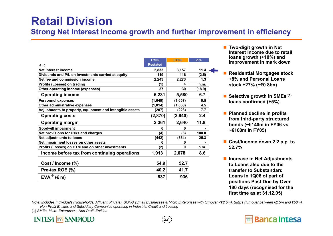## **Retail Division**

### **Strong Net Interest Income growth and further improvement in efficiency**

|                                                          | <b>FY05</b>     | <b>FY06</b> | $\Delta\%$ |
|----------------------------------------------------------|-----------------|-------------|------------|
| $(\in$ m)                                                | <b>Restated</b> |             |            |
| Net interest income                                      | 2,833           | 3,157       | 11.4       |
| Dividends and P/L on investments carried at equity       | 119             | 116         | (2.5)      |
| Net fee and commission income                            | 2,243           | 2,273       | 1.3        |
| Profits (Losses) on trading                              | (1)             | 4           | n.m.       |
| Other operating income (expenses)                        | 37              | 30          | (18.9)     |
| <b>Operating income</b>                                  | 5,231           | 5,580       | 6.7        |
| <b>Personnel expenses</b>                                | (1,649)         | (1,657)     | 0.5        |
| Other administrative expenses                            | (1,014)         | (1,060)     | 4.5        |
| Adjustments to property, equipment and intangible assets | (207)           | (223)       | 7.7        |
| <b>Operating costs</b>                                   | (2,870)         | (2,940)     | 2.4        |
| <b>Operating margin</b>                                  | 2,361           | 2,640       | 11.8       |
| <b>Goodwill impairment</b>                               | 0               | 0           |            |
| Net provisions for risks and charges                     | (4)             | (8)         | 100.0      |
| Net adjustments to loans                                 | (442)           | (554)       | 25.3       |
| Net impairment losses on other assets                    | 0               | 0           |            |
| Profits (Losses) on HTM and on other investments         | (2)             | 0           | n.m.       |
| Income before tax from continuing operations             | 1,913           | 2,078       | 8.6        |
| Cost / Income (%)                                        | 54.9            | 52.7        |            |
| Pre-tax ROE (%)                                          | 40.2            | 41.7        |            |
| $EVA^{\circledR}$ ( $\in$ m)                             | 837             | 936         |            |

- **Two-digit growth in Net Interest Income due to retail loans growth (+10%) and improvement in mark down**
- Residential Mortgages stock **+8% and Personal Loans stock +27% (+€0.8bn)**
- Selective growth in SMEs<sup>'(1)</sup> **loans confirmed (+5%)**
- **Planned decline in profits from third-party structured bonds (~€140m in FY06 vs ~€160m in FY05)**
- Cost/Income down 2.2 p.p. to **52.7%**
- **Increase in Net Adjustments to Loans also due to the transfer to Substandard Loans in 1Q06 of part of positions Past Due by Over 180 days (recognised for the first time as at 31.12.05)**

**Banca Intesa** 

Note: *Includes Individuals (Households, Affluent, Private), SOHO (Small Businesses & Micro Enterprises with turnover <€2.5m), SMEs (turnover between €2.5m and €50m), Non-Profit Entities and Subsidiary Companies operating in Industrial Credit and Leasing*

*22*

(1) *SMEs, Micro-Enterprises, Non-Profit Entities*

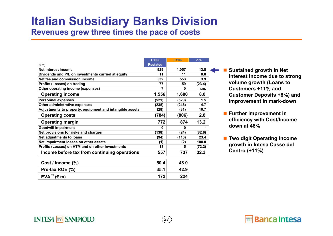## **Italian Subsidiary Banks Division**

**Revenues grew three times the pace of costs**

|                                                          | <b>FY05</b>     | <b>FY06</b> | $\Delta\%$ |
|----------------------------------------------------------|-----------------|-------------|------------|
| $(\epsilon m)$                                           | <b>Restated</b> |             |            |
| Net interest income                                      | 929             | 1.057       | 13.8       |
| Dividends and P/L on investments carried at equity       | 11              | 11          | 0.0        |
| Net fee and commission income                            | 532             | 553         | 3.9        |
| Profits (Losses) on trading                              | 77              | 59          | (23.4)     |
| Other operating income (expenses)                        | 7               | n           | n.m.       |
| <b>Operating income</b>                                  | 1,556           | 1,680       | 8.0        |
| <b>Personnel expenses</b>                                | (521)           | (529)       | 1.5        |
| Other administrative expenses                            | (235)           | (246)       | 4.7        |
| Adjustments to property, equipment and intangible assets | (28)            | (31)        | 10.7       |
| <b>Operating costs</b>                                   | (784)           | (806)       | 2.8        |
| <b>Operating margin</b>                                  | 772             | 874         | 13.2       |
| <b>Goodwill impairment</b>                               | O               | 0           |            |
| Net provisions for risks and charges                     | (138)           | (24)        | (82.6)     |
| Net adjustments to loans                                 | (94)            | (116)       | 23.4       |
| Net impairment losses on other assets                    | (1)             | (2)         | 100.0      |
| Profits (Losses) on HTM and on other investments         | 18              | 5           | (72.2)     |
| Income before tax from continuing operations             | 557             | 737         | 32.3       |
| Cost / Income (%)                                        | 50.4            | 48.0        |            |
| Pre-tax ROE (%)                                          | 35.1            | 42.9        |            |
| $EVA^{\circledR}$ ( $\varepsilon$ m)                     | 172             | 224         |            |

**INTESA nm** SANPAOLO

*23*

■ Sustained growth in Net **Interest Income due to strong volume growth (Loans to Customers +11% and Customer Deposits +8%) and improvement in mark-down**

- **Further improvement in efficiency with Cost/Income down at 48%**
- Two digit Operating Income **growth in Intesa Casse del Centro (+11%)**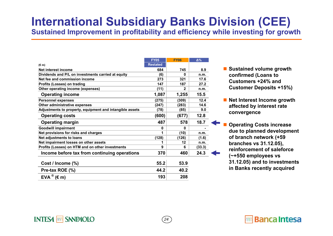### **International Subsidiary Banks Division (CEE) Sustained Improvement in profitability and efficiency while investing for growth**

*24*

|                                                          | <b>FY05</b>     | <b>FY06</b> | $\Delta\%$ |
|----------------------------------------------------------|-----------------|-------------|------------|
| $(\epsilon m)$                                           | <b>Restated</b> |             |            |
| Net interest income                                      | 684             | 745         | 8.9        |
| Dividends and P/L on investments carried at equity       | (6)             | n           | n.m.       |
| Net fee and commission income                            | 273             | 321         | 17.6       |
| Profits (Losses) on trading                              | 147             | 187         | 27.2       |
| Other operating income (expenses)                        | (11)            | 2           | n.m.       |
| <b>Operating income</b>                                  | 1,087           | 1,255       | 15.5       |
| <b>Personnel expenses</b>                                | (275)           | (309)       | 12.4       |
| Other administrative expenses                            | (247)           | (283)       | 14.6       |
| Adjustments to property, equipment and intangible assets | (78)            | (85)        | 9.0        |
| <b>Operating costs</b>                                   | (600)           | (677)       | 12.8       |
| <b>Operating margin</b>                                  | 487             | 578         | 18.7       |
| <b>Goodwill impairment</b>                               | 0               | U           |            |
| Net provisions for risks and charges                     | 1               | (10)        | n.m.       |
| Net adjustments to loans                                 | (128)           | (126)       | (1.6)      |
| Net impairment losses on other assets                    | 1               | 12          | n.m.       |
| Profits (Losses) on HTM and on other investments         | 9               | 6           | (33.3)     |
| Income before tax from continuing operations             | 370             | 460         | 24.3       |
| Cost / Income (%)                                        | 55.2            | 53.9        |            |
| Pre-tax ROE (%)                                          | 44.2            | 40.2        |            |
| $EVA^{\circledR}$ ( $\in$ m)                             | 193             | 208         |            |

**INTESA MM SANPAOLO** 

- Sustained volume growth **confirmed (Loans to Customers +24% and Customer Deposits +15%)**
- **Net Interest Income growth affected by interest rate convergence**
	- **Operating Costs increase due to planned development of branch network (+59 branches vs 31.12.05), reinforcement of saleforce(~+550 employees vs 31.12.05) and to investments in Banks recently acquired**

**Banca Intesa**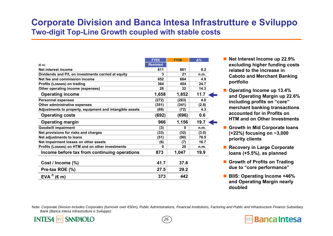### **Corporate Division and Banca Intesa Infrastrutture e Sviluppo Two-digit Top-Line Growth coupled with stable costs**

|                                                          | <b>FY05</b>     | <b>FY06</b> | $\Delta\%$ |
|----------------------------------------------------------|-----------------|-------------|------------|
| $(\epsilon m)$                                           | <b>Restated</b> |             |            |
| Net interest income                                      | 611             | 661         | 8.2        |
| Dividends and P/L on investments carried at equity       | 3               | 21          | n.m.       |
| Net fee and commission income                            | 652             | 684         | 4.9        |
| Profits (Losses) on trading                              | 364             | 454         | 24.7       |
| Other operating income (expenses)                        | 28              | 32          | 14.3       |
| <b>Operating income</b>                                  | 1,658           | 1,852       | 11.7       |
| <b>Personnel expenses</b>                                | (272)           | (283)       | 4.0        |
| Other administrative expenses                            | (351)           | (341)       | (2.8)      |
| Adjustments to property, equipment and intangible assets | (69)            | (72)        | 4.3        |
| <b>Operating costs</b>                                   | (692)           | (696)       | 0.6        |
| <b>Operating margin</b>                                  | 966             | 1,156       | 19.7       |
| <b>Goodwill impairment</b>                               | (3)             | 0           | n.m.       |
| Net provisions for risks and charges                     | (33)            | (32)        | (3.0)      |
| Net adjustments to loans                                 | (51)            | (90)        | 76.5       |
| Net impairment losses on other assets                    | (6)             | (7)         | 16.7       |
| Profits (Losses) on HTM and on other investments         | Ω               | 20          | n.m.       |
| Income before tax from continuing operations             | 873             | 1,047       | 19.9       |
| Cost / Income (%)                                        | 41.7            | 37.6        |            |
| Pre-tax ROE (%)                                          | 27.5            | 29.2        |            |
| $EVA^{\circledR}$ ( $\in$ m)                             | 373             | 442         |            |

- Net Interest Income up 22.9% **excluding higher funding costs related to the increase in Caboto and Merchant Banking portfolio**
- **Operating Income up 13.4% and Operating Margin up 22.6% including profits on "core" merchant banking transactions accounted for in Profits on HTM and on Other Investments**
- Growth in Mid Corporate loans **(+22%) focusing on ~3,000 priority clients**
- Recovery in Large Corporate **loans (+5.5%), as planned**
- Growth of Profits on Trading **due to "core performance"**
- **BIIS: Operating Income +46% and Operating Margin nearly doubled**

**Banca Intesa** 

Note: *Corporate Division includes Corporates (turnover over €50m), Public Administrations, Financial Institutions, Factoring and Public and Infrastructure Finance Subsidiary Bank (Banca Intesa Infrastrutture e Sviluppo)*

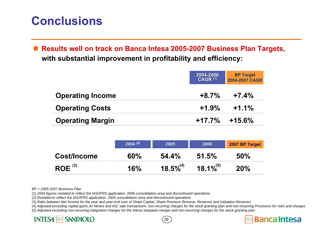## **Conclusions**

 $\Box$  **Results well on track on Banca Intesa 2005-2007 Business Plan Targets, with substantial improvement in profitability and efficiency:**

|                         | 2004-2006<br>CAGR <sup>(1)</sup> | <b>BP Target</b><br>2004-2007 CAGR |
|-------------------------|----------------------------------|------------------------------------|
| <b>Operating Income</b> | $+8.7\%$                         | $+7.4%$                            |
| <b>Operating Costs</b>  | $+1.9\%$                         | $+1.1%$                            |
| <b>Operating Margin</b> |                                  | $+17.7\%$ $+15.6\%$                |

|             | $2004^{(2)}$ | 2006<br>2005   |                | 2007 BP Target |
|-------------|--------------|----------------|----------------|----------------|
| Cost/Income | 60%          | 54.4%          | $51.5\%$       | 50%            |
| $ROE^{(3)}$ | 16%          | $18.5\%^{(4)}$ | $18.1\%^{(5)}$ | 20%            |

BP = *2005-2007 Business Plan*

(1) *2004 figures restated to reflect the IAS/IFRS application, 2006 consolidation area and discontinued operations*

(2) *Restated to reflect the IAS/IFRS application, 2005 consolidation area and discontinued operations*

(3) *Ratio between Net Income for the year and year-end sum of Share Capital, Share Premium Reserve, Reserves and Valuation Reserves*

(4) *Adjusted excluding capital gains on Nextra and IGC sale transactions, non-recurring charges for the stock granting plan and non-recurring Provisions for risks and charges* (5) *Adjusted excluding non-recurring integration charges for the Intesa Sanpaolo merger and non-recurring charges for the stock granting plan*

**Banca Intesa** 

*26*

### **INTESA non SANPAOLO**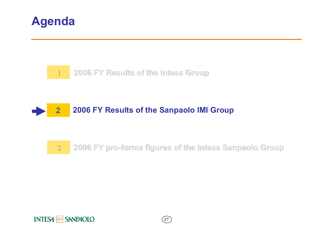



#### **22006 FY Results of the Sanpaolo IMI Group**

#### **33 2006 FY pro 2006 FY pro-forma figures of the Intesa Sanpaolo Group forma figures of the Intesa Sanpaolo Group**

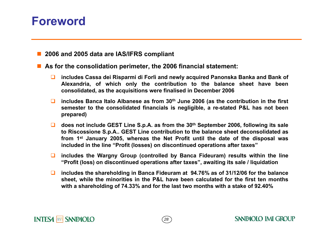## **Foreword**

**2006 and 2005 data are IAS/IFRS compliant**

**As for the consolidation perimeter, the 2006 financial statement:**

- $\Box$  **includes Cassa dei Risparmi di Forlì and newly acquired Panonska Banka and Bank of Alexandria, of which only the contribution to the balance sheet have been consolidated, as the acquisitions were finalised in December 2006**
- includes Banca Italo Albanese as from 30<sup>th</sup> June 2006 (as the contribution in the first **semester to the consolidated financials is negligible, a re-stated P&L has not been prepared)**
- does not include GEST Line S.p.A. as from the 30<sup>th</sup> September 2006, following its sale **to Riscossione S.p.A.. GEST Line contribution to the balance sheet deconsolidated as from 1st January 2005, whereas the Net Profit until the date of the disposal was included in the line "Profit (losses) on discontinued operations after taxes"**
- $\Box$  **includes the Wargny Group (controlled by Banca Fideuram) results within the line "Profit (loss) on discontinued operations after taxes", awaiting its sale / liquidation**
- $\Box$  **includes the shareholding in Banca Fideuram at 94.76% as of 31/12/06 for the balance sheet, while the minorities in the P&L have been calculated for the first ten months with a shareholding of 74.33% and for the last two months with a stake of 92.40%**

*28*

### **INTESA non SANPAOLO**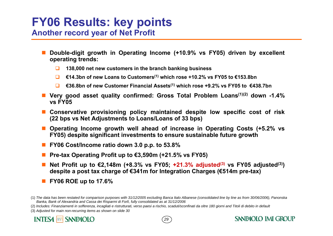## **FY06 Results: key points Another record year of Net Profit**

- Ŧ **Double-digit growth in Operating Income (+10.9% vs FY05) driven by excellent operating trends:**
	- $\Box$ **138,000 net new customers in the branch banking business**
	- $\Box$ **€14.3bn of new Loans to Customers(1) which rose +10.2% vs FY05 to €153.8bn**
	- $\Box$ **€36.8bn of new Customer Financial Assets(1) which rose +9.2% vs FY05 to €438.7bn**
- Very good asset quality confirmed: Gross Total Problem Loans<sup>(1)(2)</sup> down -1.4% **vs FY05**
- a a **Conservative provisioning policy maintained despite low specific cost of risk (22 bps vs Net Adjustments to Loans/Loans of 33 bps)**
- **Operating Income growth well ahead of increase in Operating Costs (+5.2% vs FY05) despite significant investments to ensure sustainable future growth**
- **FY06 Cost/Income ratio down 3.0 p.p. to 53.8%**
- **Pre-tax Operating Profit up to €3,590m (+21.5% vs FY05)**
- **Net Profit up to €2,148m (+8.3% vs FY05; +21.3% adjusted(3) vs FY05 adjusted(3)) despite a post tax charge of €341m for Integration Charges (€514m pre-tax)**
- **FY06 ROE up to 17.6%**

(3) *Adjusted for main non-recurring items as shown on slide 30*



*29*

<sup>(1)</sup> *The data has been restated for comparison purposes with 31/12/2005 excluding Banca Italo Albanese (consolidated line by line as from 30/06/2006), Panonska Banka, Bank of Alexandria and Cassa dei Risparmi di Forlì, fully consolidated as at 31/12/2006* 

<sup>(2)</sup> Includes: Finanziamenti in sofferenza, incagliati e ristrutturati, verso paesi a rischio, scaduti/sconfinati da oltre 180 giorni and Titoli di debito in default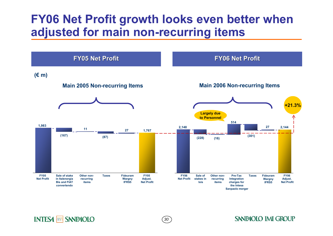## **FY06 Net Profit growth looks even better when adjusted for main non-recurring items**



*30*

**INTESA MM SANPAOLO**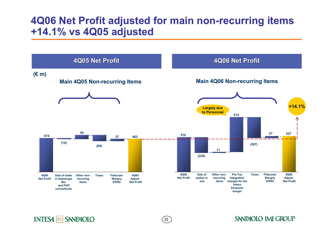### **4Q06 Net Profit adjusted for main non-recurring items +14.1% vs 4Q05 adjusted**



*31*

**INTESA MM SANPAOLO**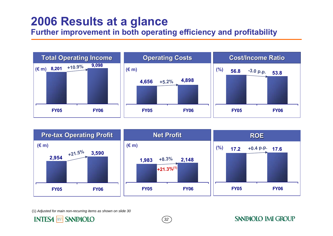## **2006 Results at a glance**

### **Further improvement in both operating efficiency and profitability**





*32*

**SANPAOLO IMI GROUP** 

(1) *Adjusted for main non-recurring items as shown on slide 30*

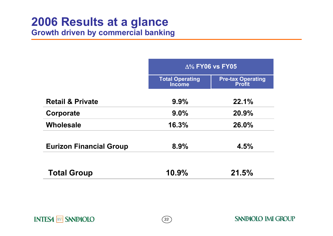# **2006 Results at a glance**

**Growth driven by commercial banking**

|                                | $\Delta\%$ FY06 vs FY05                 |                                           |  |  |  |
|--------------------------------|-----------------------------------------|-------------------------------------------|--|--|--|
|                                | <b>Total Operating</b><br><b>Income</b> | <b>Pre-tax Operating</b><br><b>Profit</b> |  |  |  |
| <b>Retail &amp; Private</b>    | 9.9%                                    | 22.1%                                     |  |  |  |
| Corporate                      | $9.0\%$                                 | 20.9%                                     |  |  |  |
| <b>Wholesale</b>               | 16.3%                                   | 26.0%                                     |  |  |  |
| <b>Eurizon Financial Group</b> | 8.9%                                    | 4.5%                                      |  |  |  |
| <b>Total Group</b>             | 10.9%                                   | 21.5%                                     |  |  |  |

*33*

**INTESA MM SANPAOLO**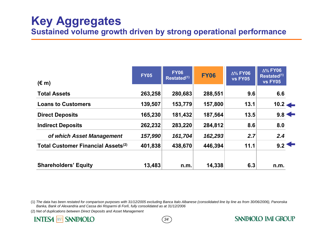| $(\epsilon m)$                            | <b>FY05</b> | <b>FY06</b><br>Restated <sup>(1)</sup> | <b>FY06</b> | $\Delta\%$ FY06<br><b>vs FY05</b> | $\Delta\%$ FY06<br>Restated <sup>(1)</sup><br><b>vs FY05</b> |  |
|-------------------------------------------|-------------|----------------------------------------|-------------|-----------------------------------|--------------------------------------------------------------|--|
| <b>Total Assets</b>                       | 263,258     | 280,683                                | 288,551     | 9.6                               | 6.6                                                          |  |
| <b>Loans to Customers</b>                 | 139,507     | 153,779                                | 157,800     | 13.1                              | $10.2 \leftarrow$                                            |  |
| <b>Direct Deposits</b>                    | 165,230     | 181,432                                | 187,564     | 13.5                              | $9.8 \leftarrow$                                             |  |
| <b>Indirect Deposits</b>                  | 262,232     | 283,220                                | 284,812     | 8.6                               | 8.0                                                          |  |
| of which Asset Management                 | 157,990     | 161,704                                | 162,293     | 2.7                               | 2.4                                                          |  |
| <b>Total Customer Financial Assets(2)</b> | 401,838     | 438,670                                | 446,394     | 11.1                              | 9.2                                                          |  |
| <b>Shareholders' Equity</b>               | 13,483      | n.m.                                   | 14,338      | 6.3                               | n.m.                                                         |  |

(1) The data has been restated for comparison purposes with 31/12/2005 excluding Banca Italo Albanese (consolidated line by line as from 30/06/2006), Panonska *Banka, Bank of Alexandria and Cassa dei Risparmi di Forlì, fully consolidated as at 31/12/2006*

*34*

**SANPAOLO IMI GROUP** 

(2) *Net of duplications between Direct Deposits and Asset Management*

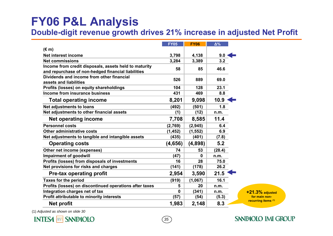## **FY06 P&L Analysis**

**Double-digit revenue growth drives 21% increase in adjusted Net Profit** 

*35*

|                                                         | <b>FY05</b> | <b>FY06</b> | $\Delta\%$ |  |
|---------------------------------------------------------|-------------|-------------|------------|--|
| $(\epsilon m)$                                          |             |             |            |  |
| <b>Net interest income</b>                              | 3,798       | 4,138       | 9.0        |  |
| <b>Net commissions</b>                                  | 3,284       | 3,389       | 3.2        |  |
| Income from credit disposals, assets held to maturity   | 58          | 85          | 46.6       |  |
| and repurchase of non-hedged financial liabilities      |             |             |            |  |
| Dividends and income from other financial               | 526         | 889         | 69.0       |  |
| assets and liabilities                                  |             |             |            |  |
| Profits (losses) on equity shareholdings                | 104         | 128         | 23.1       |  |
| Income from insurance business                          | 431         | 469         | 8.8        |  |
| <b>Total operating income</b>                           | 8,201       | 9,098       | 10.9       |  |
| <b>Net adjustments to loans</b>                         | (492)       | (501)       | 1.8        |  |
| Net adjustments to other financial assets               | (1)         | (12)        | n.m.       |  |
| <b>Net operating income</b>                             | 7,708       | 8,585       | 11.4       |  |
| <b>Personnel costs</b>                                  | (2,769)     | (2, 945)    | 6.4        |  |
| <b>Other administrative costs</b>                       | (1, 452)    | (1, 552)    | 6.9        |  |
| Net adjustments to tangible and intangible assets       | (435)       | (401)       | (7.8)      |  |
| <b>Operating costs</b>                                  | (4,656)     | (4,898)     | 5.2        |  |
| Other net income (expenses)                             | 74          | 53          | (28.4)     |  |
| <b>Impairment of goodwill</b>                           | (47)        | 0           | n.m.       |  |
| Profits (losses) from disposals of investments          | 16          | 28          | 75.0       |  |
| Net provisions for risks and charges                    | (141)       | (178)       | 26.2       |  |
| <b>Pre-tax operating profit</b>                         | 2,954       | 3,590       | 21.5       |  |
| <b>Taxes for the period</b>                             | (919)       | (1,067)     | 16.1       |  |
| Profits (losses) on discontinued operations after taxes | 5           | 20          | n.m.       |  |
| Integration charges net of tax                          | 0           | (341)       | n.m.       |  |
| Profit attributable to minority interests               | (57)        | (54)        | (5.3)      |  |
| <b>Net profit</b>                                       | 1,983       | 2,148       | 8.3        |  |

**+21.3% adjusted for main nonrecurring items (1)**

(1) *Adjusted as shown on slide 30*

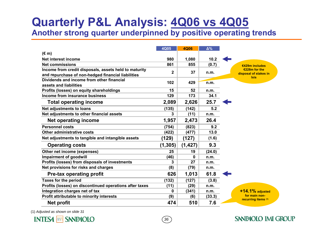# **Quarterly P&L Analysis: 4Q06 vs 4Q05**

**Another strong quarter underpinned by positive operating trends**

|                                                         | 4Q05        | <b>4Q06</b> | $\Delta\%$ |                                      |
|---------------------------------------------------------|-------------|-------------|------------|--------------------------------------|
| $(\epsilon m)$                                          |             |             |            |                                      |
| Net interest income                                     | 980         | 1,080       | 10.2       |                                      |
| <b>Net commissions</b>                                  | 861         | 855         | (0.7)      | €429m includes                       |
| Income from credit disposals, assets held to maturity   | $\mathbf 2$ | 37          | n.m.       | €228m for the                        |
| and repurchase of non-hedged financial liabilities      |             |             |            | disposal of stakes in<br><b>Ixis</b> |
| Dividends and income from other financial               | 102         | 429         | n.m.       |                                      |
| assets and liabilities                                  |             |             |            |                                      |
| Profits (losses) on equity shareholdings                | 15          | 52          | n.m.       |                                      |
| Income from insurance business                          | 129         | 173         | 34.1       |                                      |
| <b>Total operating income</b>                           | 2,089       | 2,626       | 25.7       |                                      |
| Net adjustments to loans                                | (135)       | (142)       | 5.2        |                                      |
| Net adjustments to other financial assets               | 3           | (11)        | n.m.       |                                      |
| <b>Net operating income</b>                             | 1,957       | 2,473       | 26.4       |                                      |
| <b>Personnel costs</b>                                  | (754)       | (823)       | 9.2        |                                      |
| Other administrative costs                              | (422)       | (477)       | 13.0       |                                      |
| Net adjustments to tangible and intangible assets       | (129)       | (127)       | (1.6)      |                                      |
| <b>Operating costs</b>                                  | (1, 305)    | (1, 427)    | 9.3        |                                      |
| Other net income (expenses)                             | 25          | 19          | (24.0)     |                                      |
| Impairment of goodwill                                  | (46)        | 0           | n.m.       |                                      |
| Profits (losses) from disposals of investments          | 3           | 27          | n.m.       |                                      |
| Net provisions for risks and charges                    | (8)         | (79)        | n.m.       |                                      |
| <b>Pre-tax operating profit</b>                         | 626         | 1,013       | 61.8       |                                      |
| <b>Taxes for the period</b>                             | (132)       | (127)       | (3.8)      |                                      |
| Profits (losses) on discontinued operations after taxes | (11)        | (29)        | n.m.       |                                      |
| Integration charges net of tax                          | 0           | (341)       | n.m.       | $+14.1\%$ adjusted                   |
| Profit attributable to minority interests               | (9)         | (6)         | (33.3)     | for main non-                        |
| <b>Net profit</b>                                       | 474         | 510         | 7.6        | recurring items (1)                  |

*36*

**SANPAOLO IMI GROUP** 

(1) *Adjusted as shown on slide 31*

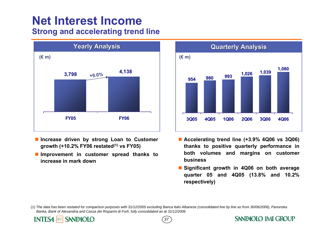## **Net Interest IncomeStrong and accelerating trend line**



- **Increase driven by strong Loan to Customer growth (+10.2% FY06 restated(1) vs FY05)**
- $\mathcal{L}_{\mathcal{A}}$  **Improvement in customer spread thanks to increase in mark down**

nn SANPAOLO

**INTESA** 



- **Accelerating trend line (+3.9% 4Q06 vs 3Q06) thanks to positive quarterly performance in both volumes and margins on customer business**
- **Significant growth in 4Q06 on both average quarter 05 and 4Q05 (13.8% and 10.2% respectively)**

(1) The data has been restated for comparison purposes with 31/12/2005 excluding Banca Italo Albanese (consolidated line by line as from 30/06/2006), Panonska *Banka, Bank of Alexandria and Cassa dei Risparmi di Forlì, fully consolidated as at 31/12/2006*

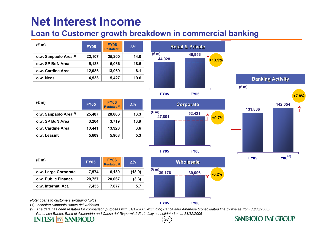### **Loan to Customer growth breakdown in commercial banking**

| $(\epsilon m)$                    | <b>FY05</b> | <b>FY06</b><br>Restated <sup>(2)</sup> | $\Delta\%$ |
|-----------------------------------|-------------|----------------------------------------|------------|
| o.w. Sanpaolo Area <sup>(1)</sup> | 22,107      | 25,200                                 | 14.0       |
| o.w. SP BdN Area                  | 5,133       | 6,086                                  | 18.6       |
| o.w. Cardine Area                 | 12,085      | 13,069                                 | 8.1        |
| o.w. Neos                         | 4,538       | 5,427                                  | 19.6       |



| (€ m)                             | <b>FY05</b> | <b>FY06</b><br>Restated <sup>(2)</sup> | $\Delta\%$ |
|-----------------------------------|-------------|----------------------------------------|------------|
| o.w. Sanpaolo Area <sup>(1)</sup> | 25,487      | 28,866                                 | 13.3       |
| o.w. SP BdN Area                  | 3.264       | 3,719                                  | 13.9       |
| o.w. Cardine Area                 | 13,441      | 13,928                                 | 3.6        |
| o.w. Leasint                      | 5,609       | 5,908                                  | 5.3        |





| $(\epsilon m)$       | <b>FY05</b> |        | $\Delta\%$ |
|----------------------|-------------|--------|------------|
| o.w. Large Corporate | 7,574       | 6,139  | (18.9)     |
| o.w. Public Finance  | 20,757      | 20,067 | (3.3)      |
| o.w. Internat. Act.  | 7,455       | 7,877  | 5.7        |



*Note: Loans to customers excluding NPLs*

(1) *Including Sanpaolo Banca dell'Adriatico*

(2) The data has been restated for comparison purposes with 31/12/2005 excluding Banca Italo Albanese (consolidated line by line as from 30/06/2006), *Panonska Banka, Bank of Alexandria and Cassa dei Risparmi di Forlì, fully consolidated as at 31/12/2006*

#### **SANPAOLO INTES4** Innn

*38*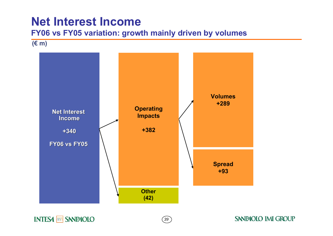### **FY06 vs FY05 variation: growth mainly driven by volumes**

**(€ m)**



*39*

### **INTESA MM SANPAOLO**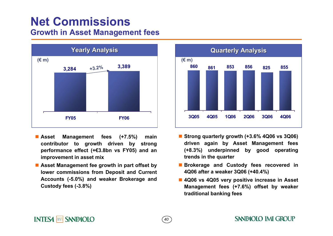## **Net CommissionsGrowth in Asset Management fees**



- Asset **Asset Management fees (+7.5%) main contributor to growth driven by strong performance effect (+€3.8bn vs FY05) and an improvement in asset mix**
- Asset Management fee growth in part offset by **lower commissions from Deposit and Current Accounts (-5.0%) and weaker Brokerage and Custody fees (-3.8%)**



- **Strong quarterly growth (+3.6% 4Q06 vs 3Q06) driven again by Asset Management fees (+8.3%) underpinned by good operating trends in the quarter**
- **Brokerage and Custody fees recovered in 4Q06 after a weaker 3Q06 (+40.4%)**
- **4Q06 vs 4Q05 very positive increase in Asset Management fees (+7.6%) offset by weaker traditional banking fees**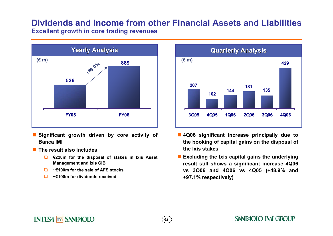### **Dividends and Income from other Financial Assets and Liabilities Excellent growth in core trading revenues**

*41*



- П **Significant growth driven by core activity of Banca IMI**
- The result also includes

**INTESA non SANPAOLO** 

- $\Box$  **€228m for the disposal of stakes in Ixis Asset Management and Ixis CIB**
- $\Box$ **~€100m for the sale of AFS stocks**
- $\Box$ **~€100m for dividends received**



- **4Q06 significant increase principally due to the booking of capital gains on the disposal of the Ixis stakes**
- **Excluding the Ixis capital gains the underlying result still shows a significant increase 4Q06 vs 3Q06 and 4Q06 vs 4Q05 (+48.9% and +97.1% respectively)**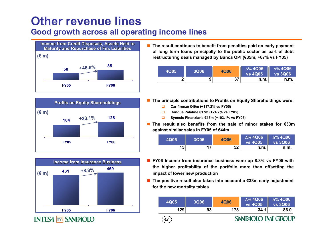## **Other revenue linesGood growth across all operating income lines**







π **The result continues to benefit from penalties paid on early payment of long term loans principally to the public sector as part of debt restructuring deals managed by Banca OPI (€35m, +67% vs FY05)**

| 4Q05 | <b>3Q06</b> | <b>4Q06</b> | Δ% 4Q06<br><b>vs 4Q05</b> | $\Delta\%$ 4Q06<br><b>VS 3Q06</b> |
|------|-------------|-------------|---------------------------|-----------------------------------|
| ◠    | 9           | 27          | n.m.                      | n.m.                              |

- **The principle contributions to Profits on Equity Shareholdings were:**
	- $\Box$ **Carifirenze €49m (+117.2% vs FY05)**

*42*

- $\Box$ **Banque Palatine €17m (+24.7% vs FY05)**
- ◻ **Synesis Finanziaria €15m (+103.1% vs FY05)**
- **The result also benefits from the sale of minor stakes for €33m against similar sales in FY05 of €44m**

| 4Q05 | <b>3Q06</b> | <b>4Q06</b> | $\Delta\%$ 4Q06<br><b>vs 4Q05</b> | $\Delta\%$ 4Q06<br><b>vs 3Q06</b> |
|------|-------------|-------------|-----------------------------------|-----------------------------------|
| 15   | 17          | 52          | <u>n.m.</u>                       | n.m.                              |

- **FY06 Income from insurance business were up 8.8% vs FY05 with the higher profitability of the portfolio more than offsetting the impact of lower new production**
- L. **The positive result also takes into account a €33m early adjustment for the new mortality tables**

| 93<br>129<br>173<br>34.1 | 4Q05 | 3Q06 | <b>4Q06</b> | $\Delta\%$ 4Q06<br><b>VS 4Q05</b> | $\Delta\%$ 4Q06<br><b>vs 3Q06</b> |
|--------------------------|------|------|-------------|-----------------------------------|-----------------------------------|
|                          |      |      |             |                                   | 86.0                              |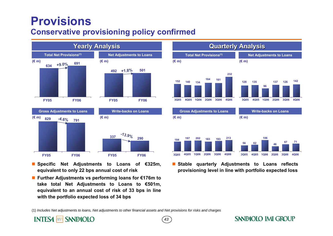## **Provisions**

### **Conservative provisioning policy confirmed**



- **Specific Net Adjustments to Loans of €325m, equivalent to only 22 bps annual cost of risk**
- **Further Adjustments vs performing loans for €176m to take total Net Adjustments to Loans to €501m, equivalent to an annual cost of risk of 33 bps in line with the portfolio expected loss of 34 bps**



 **Stable quarterly Adjustments to Loans reflects provisioning level in line with portfolio expected loss**

(1) *Includes Net adjustments to loans, Net adjustments to other financial assets and Net provisions for risks and charges*

#### nn SANPAOLO **INTES4**

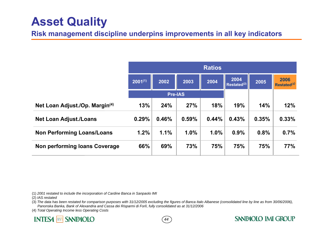## **Asset Quality**

**Risk management discipline underpins improvements in all key indicators**

|                                   | <b>Ratios</b> |                |       |       |                                 |       |                                 |
|-----------------------------------|---------------|----------------|-------|-------|---------------------------------|-------|---------------------------------|
|                                   | $2001^{(1)}$  | 2002           | 2003  | 2004  | 2004<br>Restated <sup>(2)</sup> | 2005  | 2006<br>Restated <sup>(3)</sup> |
|                                   |               | <b>Pre-IAS</b> |       |       |                                 |       |                                 |
| Net Loan Adjust./Op. Margin(4)    | 13%           | 24%            | 27%   | 18%   | 19%                             | 14%   | 12%                             |
| <b>Net Loan Adjust./Loans</b>     | 0.29%         | 0.46%          | 0.59% | 0.44% | 0.43%                           | 0.35% | 0.33%                           |
| <b>Non Performing Loans/Loans</b> | 1.2%          | 1.1%           | 1.0%  | 1.0%  | 0.9%                            | 0.8%  | 0.7%                            |
| Non performing loans Coverage     | 66%           | 69%            | 73%   | 75%   | 75%                             | 75%   | 77%                             |

(1) *2001 restated to include the incorporation of Cardine Banca in Sanpaolo IMI*

(2) *IAS restated*

(3) The data has been restated for comparison purposes with 31/12/2005 excluding the figures of Banca Italo Albanese (consolidated line by line as from 30/06/2006), *Panonska Banka, Bank of Alexandria and Cassa dei Risparmi di Forlì, fully consolidated as at 31/12/2006*

*44*

**SANPAOLO IMI GROUP** 

(4) *Total Operating Income less Operating Costs*

### **INTESA MM SANPAOLO**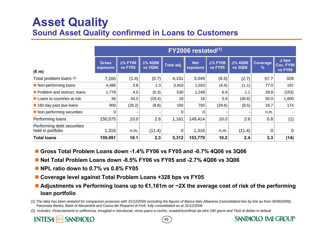## **Asset Quality Sound Asset Quality confirmed in Loans to Customers**

|                                                 | $FY2006$ restated $(1)$  |                                   |                                   |            |                        |                                   |                                   |                           |                                                    |
|-------------------------------------------------|--------------------------|-----------------------------------|-----------------------------------|------------|------------------------|-----------------------------------|-----------------------------------|---------------------------|----------------------------------------------------|
| $(\epsilon m)$                                  | <b>Gross</b><br>exposure | $\Delta\%$ FY06<br><b>vs FY05</b> | $\Delta\%$ 4Q06<br><b>vs 3Q06</b> | Total adj. | <b>Net</b><br>exposure | $\Delta\%$ FY06<br><b>vs FY05</b> | $\Delta\%$ 4Q06<br><b>vs 3Q06</b> | Coverage<br>$\frac{9}{6}$ | $\Delta$ bps<br><b>Cov. FY06</b><br><b>vs FY05</b> |
| Total problem loans (2)                         | 7,200                    | (1.4)                             | (0.7)                             | 4,151      | 3,049                  | (8.5)                             | (2.7)                             | 57.7                      | 328                                                |
| Non-performing loans                            | 4,486                    | 3.8                               | 1.3                               | 3,453      | 1,033                  | (4.4)                             | (1.1)                             | 77.0                      | 197                                                |
| Problem and restruct. Ioans                     | 1,778                    | 4.5                               | (0.3)                             | 530        | 1,248                  | 6.8                               | 1.1                               | 29.8                      | (153)                                              |
| $\blacksquare$ Loans to countries at risk       | 36                       | 44.0                              | (29.4)                            | 18         | 18                     | 5.9                               | (48.6)                            | 50.0                      | 1,800                                              |
| 180 day past due loans                          | 900                      | (28.2)                            | (8.8)                             | 150        | 750                    | (29.6)                            | (8.5)                             | 16.7                      | 174                                                |
| Non performing securities                       | $\Omega$                 |                                   |                                   | 0          | 0                      |                                   |                                   | n.m.                      |                                                    |
| Performing loans                                | 150,575                  | 10.0                              | 2.6                               | 1,161      | 149,414                | 10.0                              | 2.6                               | 0.8                       | (1)                                                |
| Performing debt securities<br>held in portfolio | 1,316                    | n.m.                              | (11.4)                            | 0          | 1,316                  | n.m.                              | (11.4)                            | 0                         | $\Omega$                                           |
| <b>Total loans</b>                              | 159,091                  | 10.1                              | 2.3                               | 5,312      | 153,779                | 10.2                              | 2.4                               | 3.3                       | (14)                                               |

- **Gross Total Problem Loans down -1.4% FY06 vs FY05 and -0.7% 4Q06 vs 3Q06**
- **Net Total Problem Loans down -8.5% FY06 vs FY05 and -2.7% 4Q06 vs 3Q06**
- NPL ratio down to 0.7% vs 0.8% FY05
- **Coverage level against Total Problem Loans +328 bps vs FY05**
- **Adjustments vs Performing loans up to €1,161m or ~2X the average cost of risk of the performing loan portfolio**
- (1) The data has been restated for comparison purposes with 31/12/2005 excluding the figures of Banca Italo Albanese (consolidated line by line as from 30/06/2006), *Panonska Banka, Bank of Alexandria and Cassa dei Risparmi di Forlì, fully consolidated as at 31/12/2006*
- (2) Includes: Finanziamenti in sofferenza, incagliati e ristrutturati, verso paesi a rischio, scaduti/sconfinati da oltre 180 giorni and Titoli di debito in default



*45*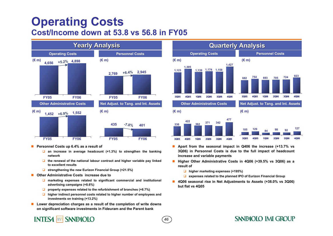## **Operating Costs Cost/Income down at 53.8 vs 56.8 in FY05**



- **Personnel Costs up 6.4% as a result of** 
	- **an increase in average headcount (+1.3%) to strengthen the banking network**
	- **the renewal of the national labour contract and higher variable pay linked to excellent results**
	- **strengthening the new Eurizon Financial Group (+21.5%)**
- П **Other Administrative Costs increase due to**

**INTESA non SANPAOLO** 

- **marketing expenses related to significant commercial and institutional advertising campaigns (+8.6%)**
- **property expenses related to the refurbishment of branches (+8.7%)**
- **higher indirect personnel costs related to higher number of employees and investments on training (+13.2%)**
- Lower depreciation charges as a result of the completion of write downs **on significant software investments in Fideuram and the Parent bank**



- **Apart from the seasonal impact in Q406 the increase (+13.7% vs 3Q06) in Personnel Costs is due to the full impact of headcount increase and variable payments**
- **Higher Other Administrative Costs in 4Q06 (+39.5% vs 3Q06) as a result of**
	- **higher marketing expenses (+195%)**

*46*

- **expenses related to the planned IPO of Eurizon Financial Group**
- П **4Q06 seasonal rise in Net Adjustments to Assets (+38.0% vs 3Q06) but flat vs 4Q05**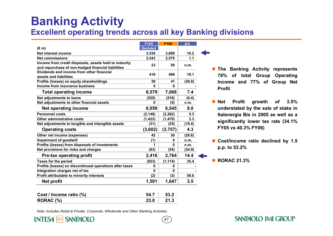## **Banking Activity Excellent operating trends across all key Banking divisions**

*47*

|                                                         | <b>FY05</b>     | <b>FY06</b> | $\Delta\%$ |  |
|---------------------------------------------------------|-----------------|-------------|------------|--|
| $(\epsilon m)$                                          | <b>Restated</b> |             |            |  |
| Net interest income                                     | 3,538           | 3,899       | 10.2       |  |
| <b>Net commissions</b>                                  | 2,543           | 2,570       | 1.1        |  |
| Income from credit disposals, assets held to maturity   | 23              | 59          | n.m.       |  |
| and repurchase of non-hedged financial liabilities      |                 |             |            |  |
| Dividends and income from other financial               | 419             | 499         | 19.1       |  |
| assets and liabilities                                  |                 |             |            |  |
| Profits (losses) on equity shareholdings                | 56              | 41          | (26.8)     |  |
| Income from insurance business                          | 0               | 0           |            |  |
| <b>Total operating income</b>                           | 6,579           | 7,068       | 7.4        |  |
| <b>Net adjustments to loans</b>                         | (520)           | (518)       | (0.4)      |  |
| Net adjustments to other financial assets               | 0               | (5)         | n.m.       |  |
| <b>Net operating income</b>                             | 6,059           | 6,545       | 8.0        |  |
| <b>Personnel costs</b>                                  | (2, 148)        | (2, 262)    | 5.3        |  |
| Other administrative costs                              | (1, 423)        | (1, 470)    | 3.3        |  |
| Net adjustments to tangible and intangible assets       | (31)            | (25)        | (19.4)     |  |
| <b>Operating costs</b>                                  | (3,602)         | (3,757)     | 4.3        |  |
| Other net income (expenses)                             | 42              | 30          | (28.6)     |  |
| <b>Impairment of goodwill</b>                           | (1)             | 0           | n.m.       |  |
| Profits (losses) from disposals of investments          | 1               | 0           | n.m.       |  |
| Net provisions for risks and charges                    | (83)            | (54)        | (34.9)     |  |
| <b>Pre-tax operating profit</b>                         | 2,416           | 2,764       | 14.4       |  |
| <b>Taxes for the period</b>                             | (823)           | (1, 114)    | 35.4       |  |
| Profits (losses) on discontinued operations after taxes | 0               | 0           |            |  |
| Integration charges net of tax                          | 0               | 0           |            |  |
| Profit attributable to minority interests               | (2)             | (3)         | 50.0       |  |
| <b>Net profit</b>                                       | 1,591           | 1,647       | 3.5        |  |
|                                                         |                 |             |            |  |

| Cost / Income ratio (%) | 54.7 | 53.2 |
|-------------------------|------|------|
| RORAC (%)               | 23.0 | 21.3 |

*Note: Includes Retail & Private, Corporate, Wholesale and Other Banking Activities*

**INTESA non SANPAOLO** 

- **The Banking Activity represents 78% of total Group Operating Income and 77% of Group Net Profit**
- **■** Net **Net Profit growth of 3.5% understated by the sale of stake in Italenergia Bis in 2005 as well as a significantly lower tax rate (34.1% FY05 vs 40.3% FY06)**
- **Cost/Income ratio declined by 1.5 p.p. to 53.2%**

**RORAC 21.3%**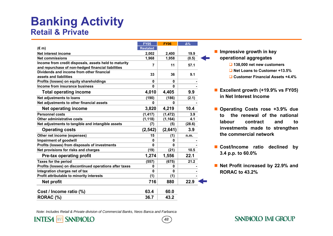## **Banking Activity Retail & Private**

|                                                                                                             | <b>FY05</b>     | <b>FY06</b> | $\Delta\%$ |  |
|-------------------------------------------------------------------------------------------------------------|-----------------|-------------|------------|--|
| $(\epsilon m)$                                                                                              | <b>Restated</b> |             |            |  |
| Net interest income                                                                                         | 2,002           | 2,400       | 19.9       |  |
| <b>Net commissions</b>                                                                                      | 1,968           | 1,958       | (0.5)      |  |
| Income from credit disposals, assets held to maturity<br>and repurchase of non-hedged financial liabilities | 7               | 11          | 57.1       |  |
| Dividends and income from other financial<br>assets and liabilities                                         | 33              | 36          | 9.1        |  |
| Profits (losses) on equity shareholdings                                                                    | 0               | 0           |            |  |
| Income from insurance business                                                                              | 0               | U           |            |  |
| <b>Total operating income</b>                                                                               | 4,010           | 4,405       | 9.9        |  |
| Net adjustments to loans                                                                                    | (190)           | (186)       | (2.1)      |  |
| Net adjustments to other financial assets                                                                   | O               | U           |            |  |
| Net operating income                                                                                        | 3,820           | 4,219       | 10.4       |  |
| <b>Personnel costs</b>                                                                                      | (1, 417)        | (1, 472)    | 3.9        |  |
| Other administrative costs                                                                                  | (1, 118)        | (1, 164)    | 4.1        |  |
| Net adjustments to tangible and intangible assets                                                           | (7)             | (5)         | (28.6)     |  |
| <b>Operating costs</b>                                                                                      | (2, 542)        | (2,641)     | 3.9        |  |
| Other net income (expenses)                                                                                 | 15              | (1)         | n.m.       |  |
| <b>Impairment of goodwill</b>                                                                               | 0               | U           |            |  |
| Profits (losses) from disposals of investments                                                              | 0               | 0           |            |  |
| Net provisions for risks and charges                                                                        | (19)            | (21)        | 10.5       |  |
| <b>Pre-tax operating profit</b>                                                                             | 1,274           | 1,556       | 22.1       |  |
| <b>Taxes for the period</b>                                                                                 | (557)           | (675)       | 21.2       |  |
| Profits (losses) on discontinued operations after taxes                                                     | 0               | 0           |            |  |
| Integration charges net of tax                                                                              | 0               | 0           |            |  |
| Profit attributable to minority interests                                                                   | (1)             | (1)         |            |  |
| <b>Net profit</b>                                                                                           | 716             | 880         | 22.9       |  |
| Cost / Income ratio (%)                                                                                     | 63.4            | 60.0        |            |  |
| RORAC (%)                                                                                                   | 36.7            | 43.2        |            |  |
|                                                                                                             |                 |             |            |  |

- **Impressive growth in key operational aggregates** 
	- **138,000 net new customers**
	- **Net Loans to Customer +13.5%**
	- **Customer Financial Assets +4.4%**
- **Excellent growth (+19.9% vs FY05) in Net Interest Income**
- **Operating Costs rose +3.9% due to the renewal of the national labour contract and to investments made to strengthen the commercial network**
- **Cost/Income ratio declined by 3.4 p.p. to 60.0%**
- Net Profit increased by 22.9% and **RORAC to 43.2%**

*Note: Includes Retail & Private division of Commercial Banks, Neos Banca and Farbanca*



*48*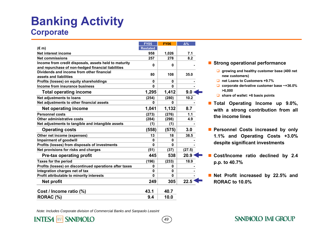## **Banking Activity Corporate**

|                                                         | <b>FY05</b>     | <b>FY06</b> | Δ%     |
|---------------------------------------------------------|-----------------|-------------|--------|
| $(\epsilon m)$                                          | <b>Restated</b> |             |        |
| Net interest income                                     | 958             | 1,026       | 7.1    |
| <b>Net commissions</b>                                  | 257             | 278         | 8.2    |
| Income from credit disposals, assets held to maturity   | 0               | 0           |        |
| and repurchase of non-hedged financial liabilities      |                 |             |        |
| Dividends and income from other financial               | 80              | 108         | 35.0   |
| assets and liabilities                                  |                 |             |        |
| Profits (losses) on equity shareholdings                | $\bf{0}$        | 0           |        |
| Income from insurance business                          | O               | 0           |        |
| <b>Total operating income</b>                           | 1,295           | 1,412       | 9.0    |
| Net adjustments to loans                                | (254)           | (280)       | 10.2   |
| Net adjustments to other financial assets               | U               | 0           |        |
| Net operating income                                    | 1,041           | 1,132       | 8.7    |
| <b>Personnel costs</b>                                  | (273)           | (276)       | 1.1    |
| Other administrative costs                              | (284)           | (298)       | 4.9    |
| Net adjustments to tangible and intangible assets       | (1)             | (1)         |        |
| <b>Operating costs</b>                                  | (558)           | (575)       | 3.0    |
| Other net income (expenses)                             | 13              | 18          | 38.5   |
| <b>Impairment of goodwill</b>                           | $\bf{0}$        | 0           |        |
| Profits (losses) from disposals of investments          | $\Omega$        | $\bf{0}$    |        |
| Net provisions for risks and charges                    | (51)            | (37)        | (27.5) |
| Pre-tax operating profit                                | 445             | 538         | 20.9   |
| <b>Taxes for the period</b>                             | (196)           | (233)       | 18.9   |
| Profits (losses) on discontinued operations after taxes | 0               | 0           |        |
| Integration charges net of tax                          | $\bf{0}$        | $\bf{0}$    |        |
| Profit attributable to minority interests               | $\bf{0}$        | $\bf{0}$    |        |
| Net profit                                              | 249             | 305         | 22.5   |
| Cost / Income ratio (%)                                 | 43.1            | 40.7        |        |
| RORAC (%)                                               | 9.4             | 10.0        |        |
|                                                         |                 |             |        |

*49*

#### ■ Strong operational performance

- **growing and healthy customer base (400 net new customers)**
- **net Loans to Customers +9.7%**
- **corporate derivative customer base ~+36.0% >6,000**
- **share of wallet: +6 basis points**
- **Total Operating Income up 9.0%, with a strong contribution from all the income lines**
- **Personnel Costs increased by only 1.1% and Operating Costs +3.0% despite significant investments**
- **Cost/Income ratio declined by 2.4 p.p. to 40.7%**
- **Net Profit increased by 22.5% and RORAC to 10.0%**

SANPAOLO IMI GROUP

*Note: Includes Corporate division of Commercial Banks and Sanpaolo Leasint*

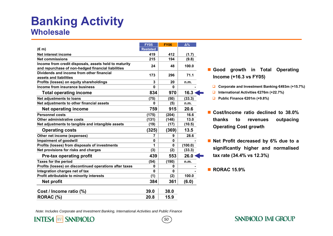## **Banking Activity Wholesale**

|                                                                                                             | <b>FY05</b>     | <b>FY06</b> | $\Delta\%$ |
|-------------------------------------------------------------------------------------------------------------|-----------------|-------------|------------|
| $(\epsilon m)$                                                                                              | <b>Restated</b> |             |            |
| Net interest income                                                                                         | 419             | 412         | (1.7)      |
| <b>Net commissions</b>                                                                                      | 215             | 194         | (9.8)      |
| Income from credit disposals, assets held to maturity<br>and repurchase of non-hedged financial liabilities | 24              | 48          | 100.0      |
| Dividends and income from other financial<br>assets and liabilities                                         | 173             | 296         | 71.1       |
| Profits (losses) on equity shareholdings                                                                    | 3               | 20          | n.m.       |
| Income from insurance business                                                                              | 0               | 0           |            |
| <b>Total operating income</b>                                                                               | 834             | 970         | 16.3       |
| Net adjustments to loans                                                                                    | (75)            | (50)        | (33.3)     |
| Net adjustments to other financial assets                                                                   | U               | (5)         | n.m.       |
| Net operating income                                                                                        | 759             | 915         | 20.6       |
| <b>Personnel costs</b>                                                                                      | (175)           | (204)       | 16.6       |
| Other administrative costs                                                                                  | (131)           | (148)       | 13.0       |
| Net adjustments to tangible and intangible assets                                                           | (19)            | (17)        | (10.5)     |
| <b>Operating costs</b>                                                                                      | (325)           | (369)       | 13.5       |
| Other net income (expenses)                                                                                 | 7               | 9           | 28.6       |
| Impairment of goodwill                                                                                      | 0               | $\bf{0}$    |            |
| Profits (losses) from disposals of investments                                                              | 1               | $\bf{0}$    | (100.0)    |
| Net provisions for risks and charges                                                                        | (3)             | (2)         | (33.3)     |
| Pre-tax operating profit                                                                                    | 439             | 553         | 26.0       |
| <b>Taxes for the period</b>                                                                                 | (54)            | (190)       | n.m.       |
| Profits (losses) on discontinued operations after taxes                                                     | 0               | $\bf{0}$    |            |
| Integration charges net of tax                                                                              | $\Omega$        | $\bf{0}$    |            |
| Profit attributable to minority interests                                                                   | (1)             | (2)         | 100.0      |
| <b>Net profit</b>                                                                                           | 384             | 361         | (6.0)      |
| Cost / Income ratio (%)                                                                                     | 39.0            | 38.0        |            |
| RORAC (%)                                                                                                   | 20.8            | 15.9        |            |
|                                                                                                             |                 |             |            |

- **Good growth in Total Operating Income (+16.3 vs FY05)**
	- **Corporate and Investment Banking €493m (+15.7%)**
	- **International Activities €276m (+22.7%)**
	- **Public Finance €201m (+9.8%)**
- **Cost/Income ratio declined to 38.0% thanks to revenues outpacing Operating Cost growth**
- **Net Profit decreased by 6% due to a significantly higher and normalised tax rate (34.4% vs 12.3%)**

**SANPAOLO IMI GROUP** 

**RORAC 15.9%**

*Note: Includes Corporate and Investment Banking, International Activities and Public Finance*

**INTESA non SANPAOLO**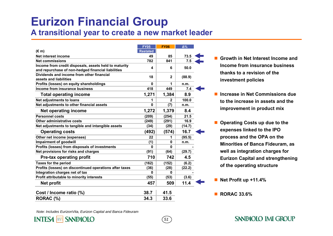## **Eurizon Financial Group**

**A transitional year to create a new market leader** 

|                                                         | <b>FY05</b>     | <b>FY06</b>  | $\Delta\%$ |  |
|---------------------------------------------------------|-----------------|--------------|------------|--|
| $(\epsilon m)$                                          | <b>Restated</b> |              |            |  |
| Net interest income                                     | 49              | 85           | 73.5       |  |
| <b>Net commissions</b>                                  | 782             | 841          | 7.5        |  |
| Income from credit disposals, assets held to maturity   | 4               | 6            | 50.0       |  |
| and repurchase of non-hedged financial liabilities      |                 |              |            |  |
| Dividends and income from other financial               | 18              | $\mathbf{2}$ | (88.9)     |  |
| assets and liabilities                                  |                 |              |            |  |
| Profits (losses) on equity shareholdings                | $\mathbf{0}$    | 1            | n.m.       |  |
| Income from insurance business                          | 418             | 449          | 7.4        |  |
| <b>Total operating income</b>                           | 1,271           | 1,384        | 8.9        |  |
| Net adjustments to loans                                | 1               | $\mathbf{2}$ | 100.0      |  |
| Net adjustments to other financial assets               | 0               | (7)          | n.m.       |  |
| Net operating income                                    | 1,272           | 1,379        | 8.4        |  |
| <b>Personnel costs</b>                                  | (209)           | (254)        | 21.5       |  |
| Other administrative costs                              | (249)           | (291)        | 16.9       |  |
| Net adjustments to tangible and intangible assets       | (34)            | (29)         | (14.7)     |  |
| <b>Operating costs</b>                                  | (492)           | (574)        | 16.7       |  |
| Other net income (expenses)                             | 22              | 1            | (95.5)     |  |
| Impairment of goodwill                                  | (1)             | 0            | n.m.       |  |
| Profits (losses) from disposals of investments          | 0               | 0            |            |  |
| Net provisions for risks and charges                    | (91)            | (64)         | (29.7)     |  |
| <b>Pre-tax operating profit</b>                         | 710             | 742          | 4.5        |  |
| <b>Taxes for the period</b>                             | (162)           | (152)        | (6.2)      |  |
| Profits (losses) on discontinued operations after taxes | (36)            | (28)         | (22.2)     |  |
| Integration charges net of tax                          | 0               | 0            |            |  |
| Profit attributable to minority interests               | (55)            | (53)         | (3.6)      |  |
| <b>Net profit</b>                                       | 457             | 509          | 11.4       |  |
| Cost / Income ratio (%)                                 | 38.7            | 41.5         |            |  |
| RORAC (%)                                               | 34.3            | 33.6         |            |  |
|                                                         |                 |              |            |  |

- Growth in Net Interest Income and **Income from insurance business thanks to a revision of the investment policies**
- П **Increase in Net Commissions due to the increase in assets and the improvement in product mix**
- Operating Costs up due to the **expenses linked to the IPO process and the OPA on the Minorities of Banca Fideuram, as well as integration charges for Eurizon Capital and strengthening of the operating structure**
- Net Profit up +11.4%

■ RORAC 33.6%

*Note: Includes EurizonVita, Eurizon Capital and Banca Fideuram*

**INTES4 non SANPAOLO**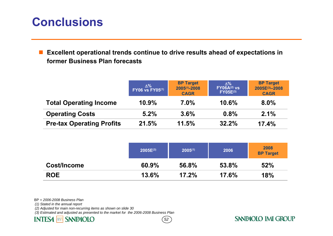## **Conclusions**

 $\mathcal{L}^{\text{max}}$  **Excellent operational trends continue to drive results ahead of expectations in former Business Plan forecasts**

|                                  | Δ%<br><b>FY06 vs FY05(1)</b> | <b>BP Target</b><br>$2005^{(1)} - 2008$<br><b>CAGR</b> | ∆%<br><b>FY06A(2) vs</b><br><b>FY05E(3)</b> | <b>BP Target</b><br>2005E(3)-2008<br><b>CAGR</b> |
|----------------------------------|------------------------------|--------------------------------------------------------|---------------------------------------------|--------------------------------------------------|
| <b>Total Operating Income</b>    | 10.9%                        | 7.0%                                                   | 10.6%                                       | 8.0%                                             |
| <b>Operating Costs</b>           | 5.2%                         | 3.6%                                                   | 0.8%                                        | 2.1%                                             |
| <b>Pre-tax Operating Profits</b> | 21.5%                        | 11.5%                                                  | 32.2%                                       | 17.4%                                            |

|             | 2005E(3) | $2005^{(1)}$ | 2006  | 2008<br><b>BP Target</b> |
|-------------|----------|--------------|-------|--------------------------|
| Cost/Income | 60.9%    | 56.8%        | 53.8% | 52%                      |
| <b>ROE</b>  | 13.6%    | 17.2%        | 17.6% | 18%                      |

*52*

BP = *2006-2008 Business Plan*

*(1) Stated in the annual report*

*(2) Adjusted for main non-recurring items as shown on slide 30* 

*(3) Estimated and adjusted as presented to the market for the 2006-2008 Business Plan*

#### **SANPAOLO INTESA** nnn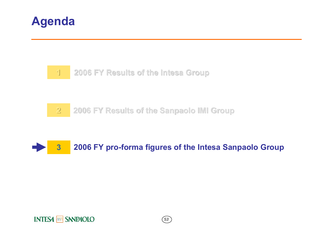







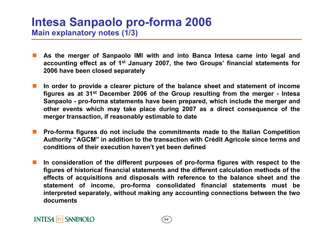## **Intesa Sanpaolo pro-forma 2006 Main explanatory notes (1/3)**

- **As the merger of Sanpaolo IMI with and into Banca Intesa came into legal and accounting effect as of 1st January 2007, the two Groups' financial statements for 2006 have been closed separately**
- $\mathbb{R}^n$  **In order to provide a clearer picture of the balance sheet and statement of income figures as at 31st December 2006 of the Group resulting from the merger - Intesa Sanpaolo - pro-forma statements have been prepared, which include the merger and other events which may take place during 2007 as a direct consequence of the merger transaction, if reasonably estimable to date**
- $\mathbb{R}^n$  **Pro-forma figures do not include the commitments made to the Italian Competition Authority "AGCM" in addition to the transaction with Crédit Agricole since terms and conditions of their execution haven't yet been defined**
- $\mathbb{R}^n$  **In consideration of the different purposes of pro-forma figures with respect to the figures of historical financial statements and the different calculation methods of the effects of acquisitions and disposals with reference to the balance sheet and the statement of income, pro-forma consolidated financial statements must be interpreted separately, without making any accounting connections between the two documents**

*54*

### **INTESA MM SANPAOLO**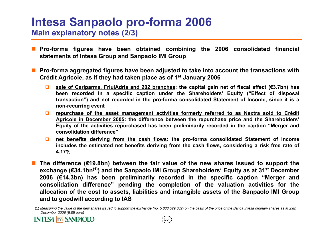### **Intesa Sanpaolo pro-forma 2006 Main explanatory notes (2/3)**

- × **Pro-forma figures have been obtained combining the 2006 consolidated financial statements of Intesa Group and Sanpaolo IMI Group**
- П **Pro-forma aggregated figures have been adjusted to take into account the transactions with Crédit Agricole, as if they had taken place as of 1st January 2006**
	- $\Box$  **sale of Cariparma, FriulAdria and 202 branches: the capital gain net of fiscal effect (€3.7bn) has been recorded in a specific caption under the Shareholders' Equity ("Effect of disposal transaction") and not recorded in the pro-forma consolidated Statement of Income, since it is a non-recurring event**
	- $\Box$  **repurchase of the asset management activities formerly referred to as Nextra sold to Crédit Agricole in December 2005: the difference between the repurchase price and the Shareholders' Equity of the activities repurchased has been preliminarily recorded in the caption "Merger and consolidation difference"**
	- $\Box$  **net benefits deriving from the cash flows: the pro-forma consolidated Statement of Income includes the estimated net benefits deriving from the cash flows, considering a risk free rate of 4.17%**
- П **The difference (€19.8bn) between the fair value of the new shares issued to support the exchange (€34.1bn(1)) and the Sanpaolo IMI Group Shareholders' Equity as at 31st December 2006 (€14.3bn) has been preliminarily recorded in the specific caption "Merger and consolidation difference" pending the completion of the valuation activities for the allocation of the cost to assets, liabilities and intangible assets of the Sanpaolo IMI Group and to goodwill according to IAS**



<sup>(1)</sup> *Measuring the value of the new shares issued to support the exchange (no. 5,833,529,082) on the basis of the price of the Banca Intesa ordinary shares as at 29th December 2006 (5.85 euro)*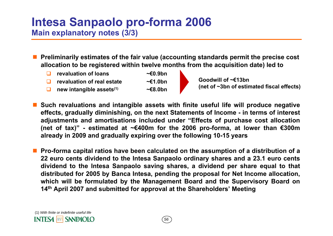## **Intesa Sanpaolo pro-forma 2006 Main explanatory notes (3/3)**

- П **Preliminarily estimates of the fair value (accounting standards permit the precise cost allocation to be registered within twelve months from the acquisition date) led to**
	- $\Box$ **revaluation of loans ~€0.9bn**
	- □ **revaluation of real estate ~€1.0bn**
	- $\Box$ **new intangible assets(1) ~€8.0bn**
- 
- **Goodwill of ~€13bn(net of ~3bn of estimated fiscal effects)**
- <u>ra</u> **Such revaluations and intangible assets with finite useful life will produce negative effects, gradually diminishing, on the next Statements of Income - in terms of interest adjustments and amortisations included under "Effects of purchase cost allocation (net of tax)" - estimated at ~€400m for the 2006 pro-forma, at lower than €300m already in 2009 and gradually expiring over the following 10-15 years**
- <u>ra</u> **Pro-forma capital ratios have been calculated on the assumption of a distribution of a 22 euro cents dividend to the Intesa Sanpaolo ordinary shares and a 23.1 euro cents dividend to the Intesa Sanpaolo saving shares, a dividend per share equal to that distributed for 2005 by Banca Intesa, pending the proposal for Net Income allocation, which will be formulated by the Management Board and the Supervisory Board on 14th April 2007 and submitted for approval at the Shareholders' Meeting**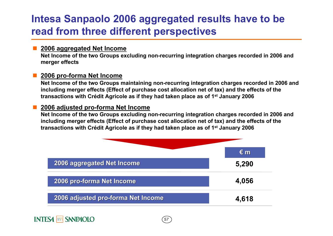## **Intesa Sanpaolo 2006 aggregated results have to be read from three different perspectives**

#### **2006 aggregated Net Income**

**Net Income of the two Groups excluding non-recurring integration charges recorded in 2006 and merger effects**

### **2006 pro-forma Net Income**

П

**Net Income of the two Groups maintaining non-recurring integration charges recorded in 2006 and including merger effects (Effect of purchase cost allocation net of tax) and the effects of the transactions with Crédit Agricole as if they had taken place as of 1st January 2006**

### **2006 adjusted pro-forma Net Income**

**Net Income of the two Groups excluding non-recurring integration charges recorded in 2006 and including merger effects (Effect of purchase cost allocation net of tax) and the effects of the transactions with Crédit Agricole as if they had taken place as of 1st January 2006**



*57*

### **INTESA MM SANPAOLO**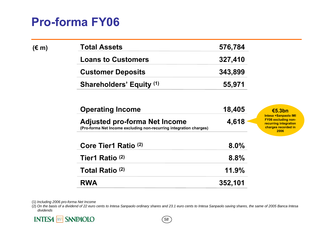## **Pro-forma FY06**

| $(\epsilon m)$ | <b>Total Assets</b>             | 576,784 |
|----------------|---------------------------------|---------|
|                | <b>Loans to Customers</b>       | 327,410 |
|                | <b>Customer Deposits</b>        | 343,899 |
|                | <b>Shareholders' Equity (1)</b> | 55,971  |

| <b>Operating Income</b>                                                                                    | 18,405  | €5.3bn                                                                                                     |
|------------------------------------------------------------------------------------------------------------|---------|------------------------------------------------------------------------------------------------------------|
| <b>Adjusted pro-forma Net Income</b><br>(Pro-forma Net Income excluding non-recurring integration charges) | 4,618   | Intesa +Sanpaolo IMI<br><b>FY06 excluding non-</b><br>recurring integration<br>charges recorded in<br>2006 |
| Core Tier1 Ratio <sup>(2)</sup>                                                                            | $8.0\%$ |                                                                                                            |
| Tier1 Ratio <sup>(2)</sup>                                                                                 | 8.8%    |                                                                                                            |
| Total Ratio <sup>(2)</sup>                                                                                 | 11.9%   |                                                                                                            |
| <b>RWA</b>                                                                                                 | 352,101 |                                                                                                            |

(1) *Including 2006 pro-forma Net Income*

(2) *On the basis of a dividend of 22 euro cents to Intesa Sanpaolo ordinary shares and 23.1 euro cents to Intesa Sanpaolo saving shares, the same of 2005 Banca Intesa dividends*

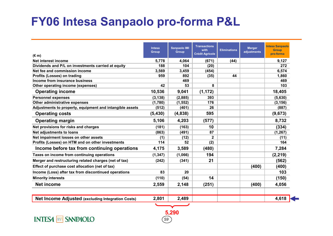## **FY06 Intesa Sanpaolo pro-forma P&L**

| $(\epsilon m)$                                           | <b>Intesa</b><br><b>Group</b> | <b>Sanpaolo IMI</b><br><b>Group</b> | <b>Transactions</b><br>with<br><b>Crédit Agricole</b> | <b>Eliminations</b> | <b>Merger</b><br>adjustments | <b>Intesa Sanpaolo</b><br><b>Group</b><br>pro-forma |
|----------------------------------------------------------|-------------------------------|-------------------------------------|-------------------------------------------------------|---------------------|------------------------------|-----------------------------------------------------|
| Net interest income                                      | 5,778                         | 4,064                               | (671)                                                 | (44)                |                              | 9,127                                               |
| Dividends and P/L on investments carried at equity       | 188                           | 104                                 | (20)                                                  |                     |                              | 272                                                 |
| Net fee and commission income                            | 3,569                         | 3,459                               | (454)                                                 |                     |                              | 6,574                                               |
| Profits (Losses) on trading                              | 959                           | 892                                 | (35)                                                  | 44                  |                              | 1,860                                               |
| Income from insurance business                           |                               | 469                                 |                                                       |                     |                              | 469                                                 |
| Other operating income (expenses)                        | 42                            | 53                                  | 8                                                     |                     |                              | 103                                                 |
| <b>Operating income</b>                                  | 10,536                        | 9,041                               | (1, 172)                                              |                     |                              | 18,405                                              |
| <b>Personnel expenses</b>                                | (3, 138)                      | (2,885)                             | 393                                                   |                     |                              | (5,630)                                             |
| Other administrative expenses                            | (1,780)                       | (1, 552)                            | 176                                                   |                     |                              | (3, 156)                                            |
| Adjustments to property, equipment and intangible assets | (512)                         | (401)                               | 26                                                    |                     |                              | (887)                                               |
| <b>Operating costs</b>                                   | (5, 430)                      | (4,838)                             | 595                                                   |                     |                              | (9,673)                                             |
| <b>Operating margin</b>                                  | 5,106                         | 4,203                               | (577)                                                 |                     |                              | 8,732                                               |
| Net provisions for risks and charges                     | (181)                         | (163)                               | 10                                                    |                     |                              | (334)                                               |
| Net adjustments to loans                                 | (863)                         | (491)                               | 87                                                    |                     |                              | (1, 267)                                            |
| Net impairment losses on other assets                    | (1)                           | (12)                                | $\mathbf 2$                                           |                     |                              | (11)                                                |
| Profits (Losses) on HTM and on other investments         | 114                           | 52                                  | (2)                                                   |                     |                              | 164                                                 |
| Income before tax from continuing operations             | 4,175                         | 3,589                               | (480)                                                 |                     |                              | 7,284                                               |
| Taxes on income from continuing operations               | (1, 347)                      | (1,066)                             | 194                                                   |                     |                              | (2, 219)                                            |
| Merger and restructuring related charges (net of tax)    | (242)                         | (341)                               | 21                                                    |                     |                              | (562)                                               |
| Effect of purchase cost allocation (net of tax)          |                               |                                     |                                                       |                     | (400)                        | (400)                                               |
| Income (Loss) after tax from discontinued operations     | 83                            | 20                                  |                                                       |                     |                              | 103                                                 |
| <b>Minority interests</b>                                | (110)                         | (54)                                | 14                                                    |                     |                              | (150)                                               |
| <b>Net income</b>                                        | 2,559                         | 2,148                               | (251)                                                 |                     | (400)                        | 4,056                                               |
| Net Income Adjusted (excluding Integration Costs)        | 2,801                         | 2,489                               |                                                       |                     |                              | 4,618                                               |

*59*

**5,290**

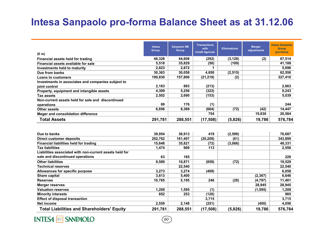## **Intesa Sanpaolo pro-forma Balance Sheet as at 31.12.06**

|                                                         | <b>Intesa</b><br>Group | <b>Sanpaolo IMI</b><br>Group | <b>Transactions</b><br>with | <b>Eliminations</b> | <b>Merger</b><br>adjustments | <b>Intesa Sanpaolo</b><br><b>Group</b> |
|---------------------------------------------------------|------------------------|------------------------------|-----------------------------|---------------------|------------------------------|----------------------------------------|
| $(\epsilon m)$                                          |                        |                              | <b>Crédit Agricole</b>      |                     |                              | pro-forma                              |
| <b>Financial assets held for trading</b>                | 46,328                 | 44,608                       | (292)                       | (3, 128)            | (2)                          | 87,514                                 |
| Financial assets available for sale                     | 5,518                  | 35,829                       | (50)                        | (109)               |                              | 41,188                                 |
| <b>Investments held to maturity</b>                     | 2,823                  | 2,872                        | 1                           |                     |                              | 5,696                                  |
| Due from banks                                          | 30,363                 | 30,058                       | 4,650                       | (2, 515)            |                              | 62,556                                 |
| <b>Loans to customers</b>                               | 190,830                | 157,800                      | (21, 218)                   | (2)                 |                              | 327,410                                |
| Investments in associates and companies subject to      |                        |                              |                             |                     |                              |                                        |
| joint control                                           | 2,183                  | 893                          | (213)                       |                     |                              | 2,863                                  |
| Property, equipment and intangible assets               | 4,309                  | 5,256                        | (322)                       |                     |                              | 9,243                                  |
| <b>Tax assets</b>                                       | 2,502                  | 2,690                        | (153)                       |                     |                              | 5,039                                  |
| Non-current assets held for sale and discontinued       |                        |                              |                             |                     |                              |                                        |
| operations                                              | 69                     | 176                          | (1)                         |                     |                              | 244                                    |
| <b>Other assets</b>                                     | 6,856                  | 8,369                        | (664)                       | (72)                | (42)                         | 14,447                                 |
| Meger and consolidation difference                      |                        |                              | 754                         |                     | 19,830                       | 20,584                                 |
| <b>Total Assets</b>                                     | 291,781                | 288,551                      | (17, 508)                   | (5,826)             | 19,786                       | 576,784                                |
|                                                         |                        |                              |                             |                     |                              |                                        |
|                                                         |                        |                              |                             |                     |                              |                                        |
| Due to banks                                            | 39,954                 | 38,913                       | 419                         | (2,599)             |                              | 76,687                                 |
| <b>Direct customer deposits</b>                         | 202,762                | 161,407                      | (20, 209)                   | (61)                |                              | 343,899                                |
| <b>Financial liabilities held for trading</b>           | 15,648                 | 35,821                       | (72)                        | (3,066)             |                              | 48,331                                 |
| <b>Tax liabilities</b>                                  | 1,474                  | 969                          | 113                         |                     |                              | 2,556                                  |
| Liabilities associated with non-current assets held for |                        |                              |                             |                     |                              |                                        |
| sale and discontinued operations                        | 63                     | 165                          |                             |                     |                              | 228                                    |
| <b>Other liabilities</b>                                | 9,589                  | 10,871                       | (859)                       | (72)                |                              | 19,529                                 |
| <b>Technical reserves</b>                               |                        | 22,540                       |                             |                     |                              | 22,540                                 |
| Allowances for specific purpose                         | 3,273                  | 3,274                        | (489)                       |                     |                              | 6,058                                  |
| <b>Share capital</b>                                    | 3,613                  | 5,400                        |                             |                     | (2, 367)                     | 6,646                                  |
| <b>Reserves</b>                                         | 10,785                 | 5,195                        | 246                         | (28)                | (4, 797)                     | 11,401                                 |
| <b>Merger reserves</b>                                  |                        |                              |                             |                     | 28,945                       | 28,945                                 |
| <b>Valuation reserves</b>                               | 1,209                  | 1,595                        | (1)                         |                     | (1, 595)                     | 1,208                                  |
| <b>Minority interests</b>                               | 852                    | 253                          | (120)                       |                     |                              | 985                                    |
| <b>Effect of disposal transaction</b>                   |                        |                              | 3,715                       |                     |                              | 3,715                                  |
| <b>Net income</b>                                       | 2,559                  | 2,148                        | (251)                       |                     | (400)                        | 4,056                                  |
| <b>Total Liabilities and Shareholders' Equity</b>       | 291,781                | 288,551                      | (17, 508)                   | (5,826)             | 19,786                       | 576,784                                |

**INTESA MM SANPAOLO**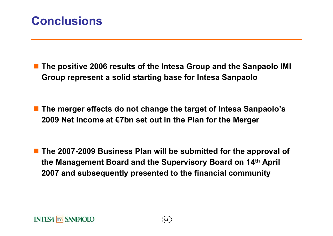## **Conclusions**

 **The positive 2006 results of the Intesa Group and the Sanpaolo IMI Group represent a solid starting base for Intesa Sanpaolo**

 **The merger effects do not change the target of Intesa Sanpaolo's 2009 Net Income at €7bn set out in the Plan for the Merger**

 **The 2007-2009 Business Plan will be submitted for the approval of the Management Board and the Supervisory Board on 14th April 2007 and subsequently presented to the financial community**

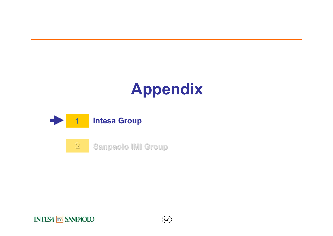# **Appendix**



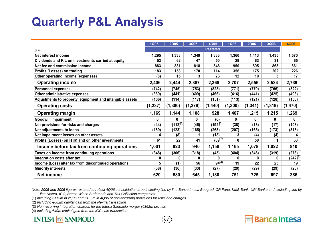## **Quarterly P&L Analysis**

|                                                          | <b>1Q05</b> | <b>2Q05</b>   | 3Q05     | 4Q05            | <b>1Q06</b> | <b>2Q06</b> | 3Q06     | <b>4Q06</b> |
|----------------------------------------------------------|-------------|---------------|----------|-----------------|-------------|-------------|----------|-------------|
| $(\epsilon m)$                                           |             |               |          | <b>Restated</b> |             |             |          |             |
| Net interest income                                      | 1,295       | 1,333         | 1,349    | 1,333           | 1,360       | 1,413       | 1,435    | 1,570       |
| Dividends and P/L on investments carried at equity       | 53          | 62            | 47       | 50              | 29          | 63          | 31       | 65          |
| Net fee and commission income                            | 883         | 881           | 818      | 848             | 950         | 895         | 863      | 861         |
| Profits (Losses) on trading                              | 183         | 153           | 170      | 114             | 356         | 175         | 202      | 226         |
| Other operating income (expenses)                        | (8)         | 15            | 3        | 23              | 12          | 10          | 3        | 17          |
| <b>Operating income</b>                                  | 2,406       | 2,444         | 2,387    | 2,368           | 2,707       | 2,556       | 2,534    | 2,739       |
| <b>Personnel expenses</b>                                | (742)       | (745)         | (753)    | (823)           | (771)       | (779)       | (766)    | (822)       |
| Other administrative expenses                            | (389)       | (441)         | (409)    | (466)           | (416)       | (441)       | (425)    | (498)       |
| Adjustments to property, equipment and intangible assets | (106)       | (114)         | (117)    | (151)           | (113)       | (121)       | (128)    | (150)       |
| <b>Operating costs</b>                                   | (1, 237)    | (1, 300)      | (1, 279) | (1,440)         | (1, 300)    | (1, 341)    | (1, 319) | (1, 470)    |
| <b>Operating margin</b>                                  | 1,169       | 1,144         | 1,108    | 928             | 1,407       | 1,215       | 1,215    | 1,269       |
| <b>Goodwill impairment</b>                               | 0           | 0             | 0        | (6)             | 0           | 0           | 0        | 0           |
| Net provisions for risks and charges                     | (44)        | $(112)^{(1)}$ | (45)     | $(192)^{(1)}$   | (38)        | (18)        | (17)     | (108)       |
| Net adjustments to loans                                 | (189)       | (123)         | (165)    | (263)           | (207)       | (165)       | (173)    | (318)       |
| Net impairment losses on other assets                    | 4           | (8)           | 1        | (18)            | 3           | (4)         | (4)      | 4           |
| Profits (Losses) on HTM and on other investments         | 61          | 22            | 41       | $709^{(2)}$     | 0           | 50          | 1        | 63          |
| Income before tax from continuing operations             | 1,001       | 923           | 940      | 1,158           | 1,165       | 1,078       | 1,022    | 910         |
| Taxes on income from continuing operations               | (348)       | (306)         | (318)    | (45)            | (404)       | (346)       | (319)    | (278)       |
| Integration costs after tax                              | 0           | 0             | 0        | 0               | 0           | 0           | 0        | $(242)^{3}$ |
| Income (Loss) after tax from discontinued operations     | 5           | (1)           | 56       | $94^{(4)}$      | 19          | 22          | 23       | 19          |
| <b>Minority interests</b>                                | (38)        | (36)          | (33)     | (27)            | (29)        | (29)        | (29)     | (23)        |
| Net income                                               | 620         | 580           | 645      | 1,180           | 751         | 725         | 697      | 386         |

Note: *2005 and 2006 figures restated to reflect 4Q06 consolidation area including line by line Banca Intesa Beograd, CR Fano, KMB Bank, UPI Banka and excluding line by line Nextra, IGC, Banco Wiese Sudameris and Tax-Collection companies*

*63*

**Banca Intesa** 

**non** 

- (1) *Including €115m in 2Q05 and €135m in 4Q05 of non-recurring provisions for risks and charges*
- (2) *Including €682m capital gain from the Nextra transaction*
- (3) *Non-recurring integration charges for the Intesa Sanpaolo merger (€362m pre-tax)*
- (4) *Including €49m capital gain from the IGC sale transaction*

### **INTESA MM SANPAOLO**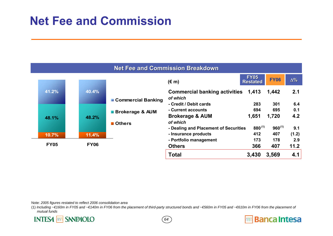## **Net Fee and Commission**

|             | <b>Net Fee and Commission Breakdown</b> |             |                            |                                       |                                |             |            |  |  |  |
|-------------|-----------------------------------------|-------------|----------------------------|---------------------------------------|--------------------------------|-------------|------------|--|--|--|
|             |                                         |             |                            | $(\epsilon$ m)                        | <b>FY05</b><br><b>Restated</b> | <b>FY06</b> | $\Delta\%$ |  |  |  |
|             | 41.2%                                   | 40.4%       |                            | <b>Commercial banking activities</b>  | 1,413                          | 1,442       | 2.1        |  |  |  |
|             |                                         |             | <b>Commercial Banking</b>  | of which                              |                                |             |            |  |  |  |
|             |                                         |             |                            | - Credit / Debit cards                | 283                            | 301         | 6.4        |  |  |  |
|             |                                         |             | <b>Brokerage &amp; AUM</b> | - Current accounts                    | 694                            | 695         | 0.1        |  |  |  |
| 48.1%       | 48.2%                                   |             | <b>Brokerage &amp; AUM</b> | 1,651                                 | 1,720                          | 4.2         |            |  |  |  |
|             |                                         |             | <b>■ Others</b>            | of which                              |                                |             |            |  |  |  |
|             |                                         |             |                            | - Dealing and Placement of Securities | $880^{(1)}$                    | $960^{(1)}$ | 9.1        |  |  |  |
|             | 10.7%                                   | 11.4%       |                            | - Insurance products                  | 412                            | 407         | (1.2)      |  |  |  |
|             |                                         |             |                            | - Portfolio management                | 173                            | 178         | 2.9        |  |  |  |
| <b>FY05</b> |                                         | <b>FY06</b> |                            | <b>Others</b>                         | 366                            | 407         | 11.2       |  |  |  |
|             |                                         |             |                            | <b>Total</b>                          | 3,430                          | 3,569       | 4.1        |  |  |  |

Note: *2005 figures restated to reflect 2006 consolidation area*

(1) *Including ~€160m in FY05 and ~€140m in FY06 from the placement of third-party structured bonds and ~€560m in FY05 and ~€610m in FY06 from the placement of mutual funds*

**INTESA MM SANPAOLO** 

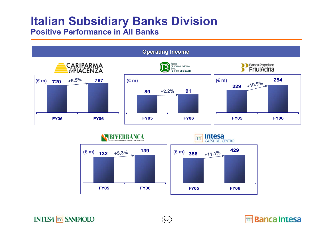### **Italian Subsidiary Banks Division Positive Performance in All Banks**

**INTESA MM SANPAOLO** 





*65*

**Banca Intesa**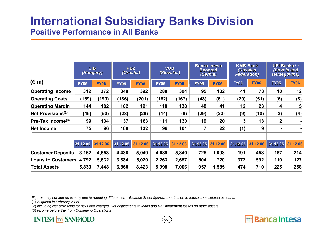## **International Subsidiary Banks Division Positive Performance in All Banks**

|                               |             | CIB<br>(Hungary) |             | <b>PBZ</b><br>(Croatia) |             | <b>VUB</b><br>(Slovakia) | <b>Banca Intesa</b><br><b>Beograd</b><br>(Serbia) |             | <b>KMB Bank</b><br>(Russian<br><b>Federation</b> ) |             | UPI Banka (1)<br>(Bosnia and<br>Herzegovina) |                |
|-------------------------------|-------------|------------------|-------------|-------------------------|-------------|--------------------------|---------------------------------------------------|-------------|----------------------------------------------------|-------------|----------------------------------------------|----------------|
| $(\epsilon$ m)                | <b>FY05</b> | <b>FY06</b>      | <b>FY05</b> | <b>FY06</b>             | <b>FY05</b> | <b>FY06</b>              | <b>FY05</b>                                       | <b>FY06</b> | <b>FY05</b>                                        | <b>FY06</b> | <b>FY05</b>                                  | <b>FY06</b>    |
| <b>Operating Income</b>       | 312         | 372              | 348         | 392                     | 280         | 304                      | 95                                                | 102         | 41                                                 | 73          | 10                                           | 12             |
| <b>Operating Costs</b>        | (169)       | (190)            | (186)       | (201)                   | (162)       | (167)                    | (48)                                              | (61)        | (29)                                               | (51)        | (6)                                          | (8)            |
| <b>Operating Margin</b>       | 144         | 182              | 162         | 191                     | 118         | 138                      | 48                                                | 41          | 12                                                 | 23          | 4                                            | 5              |
| Net Provisions <sup>(2)</sup> | (45)        | (50)             | (28)        | (29)                    | (14)        | (9)                      | (29)                                              | (23)        | (9)                                                | (10)        | (2)                                          | (4)            |
| Pre-Tax Income <sup>(3)</sup> | 99          | 134              | 137         | 163                     | 111         | 130                      | 19                                                | 20          | 3                                                  | 13          | $\mathbf{2}$                                 | $\blacksquare$ |
| <b>Net Income</b>             | 75          | 96               | 108         | 132                     | 96          | 101                      | $\overline{7}$                                    | 22          | (1)                                                | 9           |                                              |                |
|                               | 31.12.05    | 31.12.06         | 31.12.05    | 31.12.06                | 31.12.05    | 31.12.06                 | 31.12.05                                          | 31.12.06    | 31.12.05                                           | 31.12.06    | 31.12.05                                     | 31.12.06       |
| <b>Customer Deposits</b>      | 3,162       | 4,553            | 4,438       | 5,049                   | 4,689       | 5,840                    | 725                                               | 1,098       | 191                                                | 458         | 187                                          | 214            |
| Loans to Customers 4,792      |             | 5,632            | 3,884       | 5,020                   | 2,263       | 2,687                    | 504                                               | 720         | 372                                                | 592         | 110                                          | 127            |
| <b>Total Assets</b>           | 5,833       | 7,448            | 6,860       | 8,423                   | 5,998       | 7,006                    | 957                                               | 1,585       | 474                                                | 710         | 225                                          | 258            |

*66*

**Banca Intesa** 

*Figures may not add up exactly due to rounding differences – Balance Sheet figures: contribution to Intesa consolidated accounts*

(1) *Acquired in February 2006*

(2) *Including Net provisions for risks and charges, Net adjustments to loans and Net impairment losses on other assets*

(3) *Income before Tax from Continuing Operations*

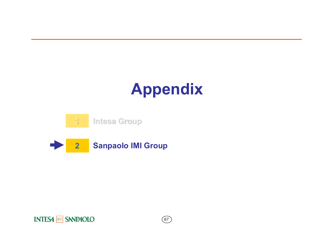# **Appendix**





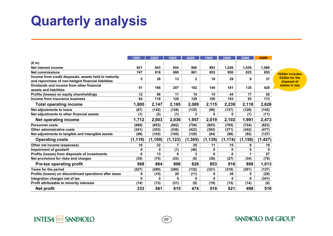# **Quarterly analysis**

|                                                                                                             | <b>1Q05</b> | <b>2Q05</b> | 3Q05           | 4Q05         | <b>1Q06</b> | <b>2Q06</b> | 3Q06     | 4Q06     |                              |
|-------------------------------------------------------------------------------------------------------------|-------------|-------------|----------------|--------------|-------------|-------------|----------|----------|------------------------------|
| $(\epsilon m)$                                                                                              |             |             |                |              |             |             |          |          |                              |
| Net interest income                                                                                         | 921         | 943         | 954            | 980          | 993         | 1,026       | 1,039    | 1,080    |                              |
| <b>Net commissions</b>                                                                                      | 747         | 816         | 860            | 861          | 853         | 856         | 825      | 855      | €429m include                |
| Income from credit disposals, assets held to maturity<br>and repurchase of non-hedged financial liabilities |             | 38          | 13             | $\mathbf{2}$ | 10          | 29          | 9        | 37       | €228m for the<br>disposal of |
| Dividends and income from other financial<br>assets and liabilities                                         |             | 166         | 207            | 102          | 144         | 181         | 135      | 429      | stakes in Ixis               |
| Profits (losses) on equity shareholdings                                                                    | 12          | 66          | 11             | 15           | 15          | 44          | 17       | 52       |                              |
| Income from insurance business                                                                              | 64          | 118         | 120            | 129          | 100         | 103         | 93       | 173      |                              |
| <b>Total operating income</b>                                                                               | 1,800       | 2,147       | 2,165          | 2,089        | 2,115       | 2,239       | 2,118    | 2,626    |                              |
| Net adjustments to loans                                                                                    | (87)        | (142)       | (128)          | (135)        | (96)        | (137)       | (126)    | (142)    |                              |
| Net adjustments to other financial assets                                                                   | (1)         | (2)         | (1)            | 3            | 0           | 0           | (1)      | (11)     |                              |
| <b>Net operating income</b>                                                                                 | 1,712       | 2,003       | 2,036          | 1,957        | 2,019       | 2,102       | 1,991    | 2,473    |                              |
| <b>Personnel costs</b>                                                                                      | (680)       | (653)       | (682)          | (754)        | (693)       | (705)       | (724)    | (823)    |                              |
| Other administrative costs                                                                                  | (341)       | (353)       | (336)          | (422)        | (362)       | (371)       | (342)    | (477)    |                              |
| Net adjustments to tangible and intangible assets                                                           | (98)        | (103)       | (105)          | (129)        | (84)        | (98)        | (92)     | (127)    |                              |
| <b>Operating costs</b>                                                                                      | (1, 119)    | (1, 109)    | (1, 123)       | (1, 305)     | (1, 139)    | (1, 174)    | (1, 158) | (1, 427) |                              |
| Other net income (expenses)                                                                                 | 10          | 32          | $\overline{7}$ | 25           | 11          | 15          | 8        | 19       |                              |
| Impairment of goodwill                                                                                      | 0           | 0           | (1)            | (46)         | 0           | 0           | 0        | 0        |                              |
| Profits (losses) from disposals of investments                                                              | 0           | 13          | 0              | 3            | 0           | 0           | 1        | 27       |                              |
| Net provisions for risks and charges                                                                        | (35)        | (75)        | (23)           | (8)          | (38)        | (27)        | (34)     | (79)     |                              |
| <b>Pre-tax operating profit</b>                                                                             | 568         | 864         | 896            | 626          | 853         | 916         | 808      | 1,013    |                              |
| <b>Taxes for the period</b>                                                                                 | (227)       | (280)       | (280)          | (132)        | (321)       | (318)       | (301)    | (127)    |                              |
| Profits (losses) on discontinued operations after taxes                                                     | 6           | (10)        | 20             | (11)         | 6           | 38          | 5        | (29)     |                              |
| Integration charges net of tax                                                                              | 0           | 0           | 0              | 0            | 0           | 0           | 0        | (341)    |                              |
| Profit attributable to minority interests                                                                   | (14)        | (13)        | (21)           | (9)          | (19)        | (15)        | (14)     | (6)      |                              |
| <b>Net profit</b>                                                                                           | 333         | 561         | 615            | 474          | 519         | 621         | 498      | 510      |                              |
|                                                                                                             |             |             |                |              |             |             |          |          |                              |

**€429m includes €228m for the disposal of** 

### **INTESA MM SANPAOLO**